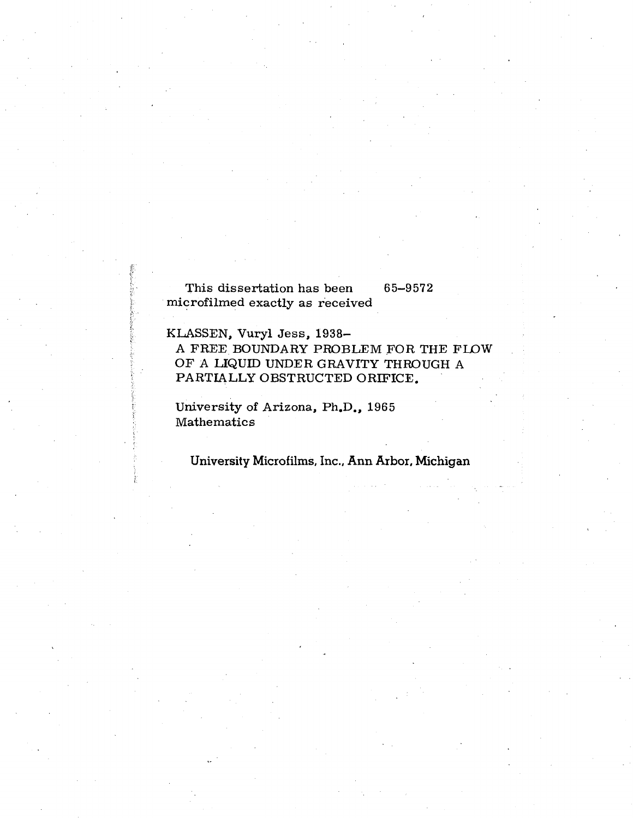**This dissertation has been 65-9572 microfilmed exactly as received** 

**KLASSEN, Vuryl Jess, 1938-**

**A FREE BOUNDARY PROBLEM FOR THE FLOW OF A LIQUID UNDER GRAVITY THROUGH A PARTIALLY OBSTRUCTED ORIFICE.** 

**University of Arizona, Ph.D., 1965 Mathematics** 

#### **University Microfilms, Inc., Ann Arbor, Michigan**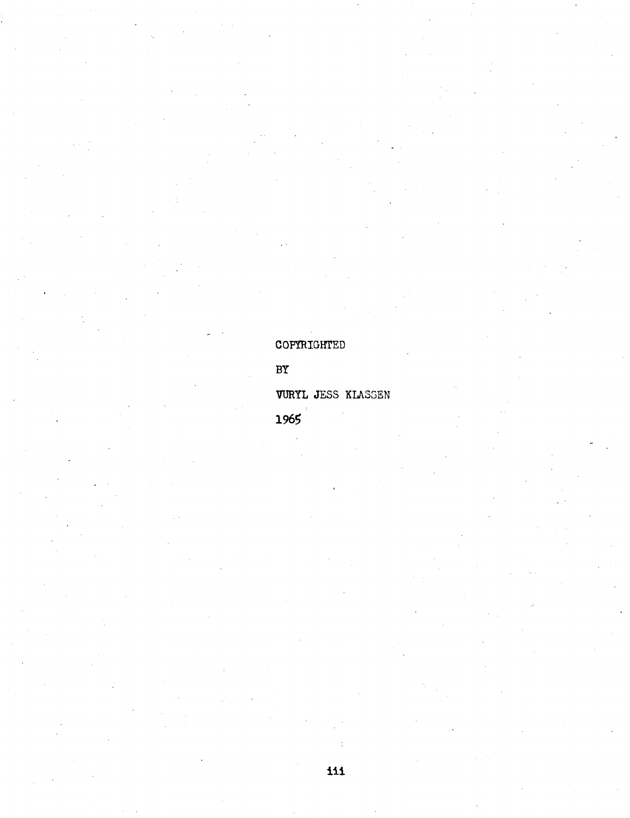COPYRIGHTED

### $BY$

#### VURYL JESS KLASSEN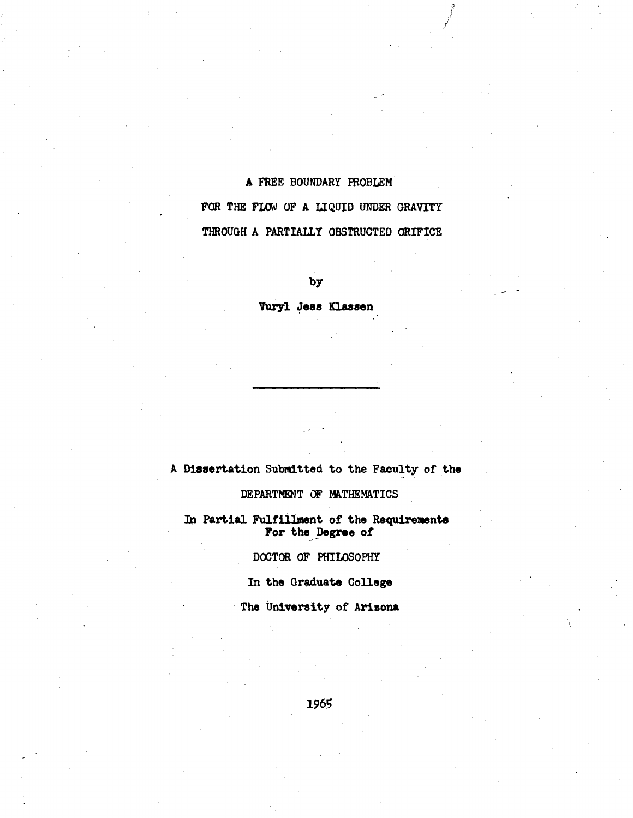#### **A FREE BOUNDARY PROBLEM**

/

FOR THE FLOW OF A LIQUID UNDER GRAVITY **THROUGH A PARTIALLY OBSTRUCTED ORIFICE** 

**by** 

**Vuryl Jess Klassen** 

**A Dissertation Submitted to the Faculty- of the** 

**DEPARTMENT OF MATHEMATICS** 

**In Partial Fulfillment of the Requirements For the Degree of** 

**DOCTOR OF PHILOSOPHY** 

**In the Graduate College** 

**The University of Arizona**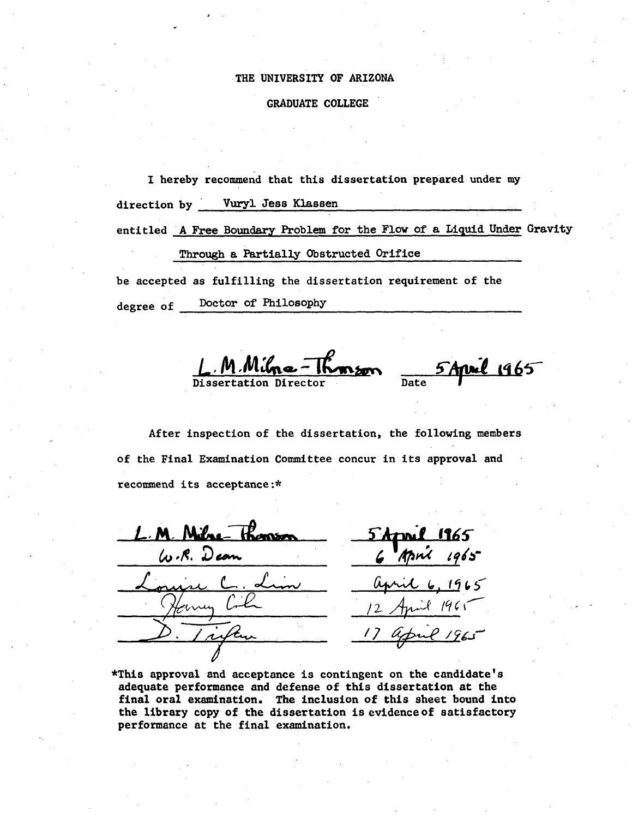#### THE UNIVERSITY OF ARIZONA

#### **GRADUATE COLLEGE**

I hereby recommend that this dissertation prepared under my

Vuryl Jess Klassen direction by

entitled A Free Boundary Problem for the Flow of a Liquid Under Gravity

Through a Partially Obstructed Orifice

be accepted as fulfilling the dissertation requirement of the degree of <u>Doctor</u> of Philosophy

M.Milna-Thomson

5 April 1965

After inspection of the dissertation, the following members of the Final Examination Committee concur in its approval and recommend its acceptance:\*

1965 **Semson** les R. Dean

\*This approval and acceptance is contingent on the candidate's adequate performance and defense of this dissertation at the final oral examination. The inclusion of this sheet bound into the library copy of the dissertation is evidence of satisfactory performance at the final examination.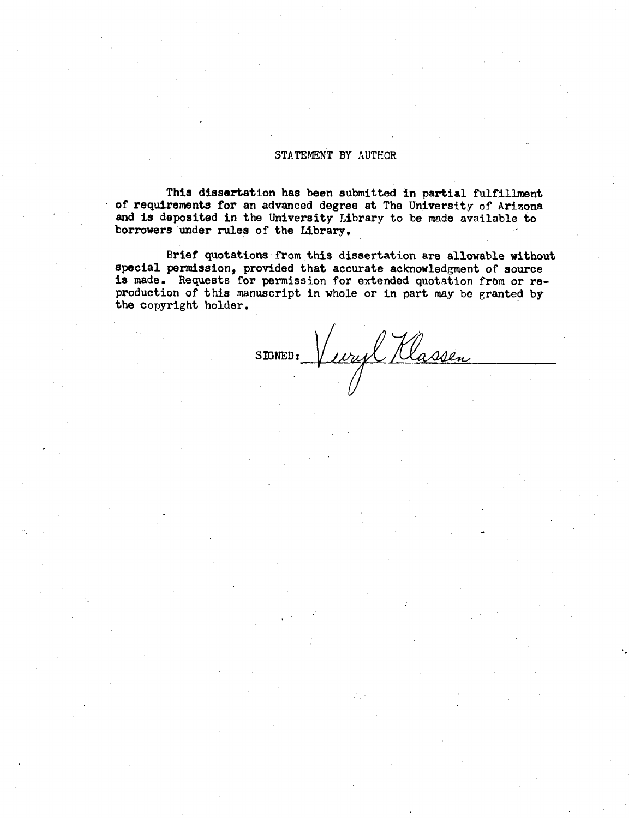#### **STATEMENT BY AUTHOR**

**This dissertation has been submitted in partial fulfillment of requirements for an advanced degree at The University of Arizona and is deposited in the University Library to be made available to borrowers under rules of the Library.** 

**Brief quotations from this dissertation are allowable without special permission, provided that accurate acknowledgment of source is made.** Requests for permission for extended quotation from or re**production of this manuscript in whole or in part may be granted by the copyright holder.** 

SIGNED: Vuryl Klassen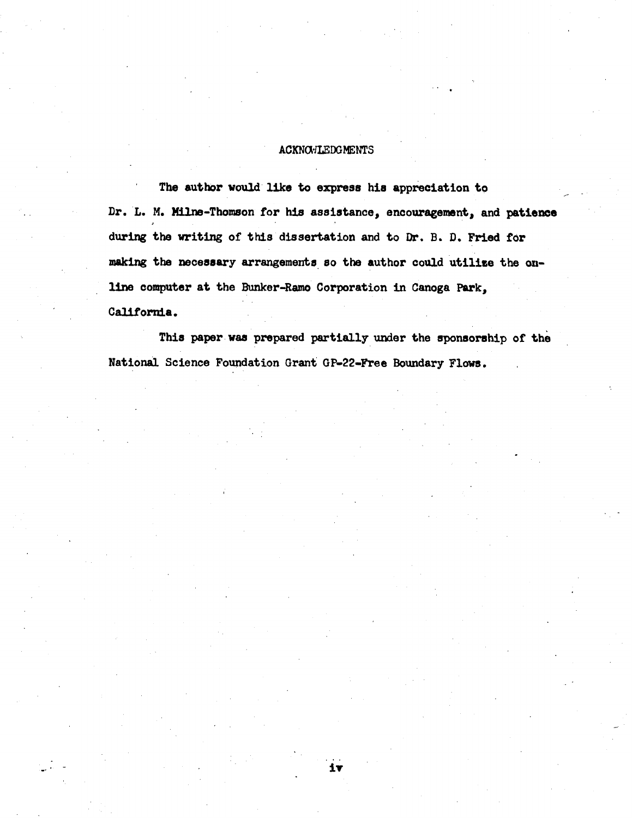#### **ACKNOWLEDGMENTS**

**The author would like to express his appreciation to Dr. L. M. Milne-Thomson for his assistance, encouragement, and patience during the writing of this dissertation and to Dr. B. D. Fried for making the necessary arrangements so the author could utilise the online computer at the Bunker-Ramo Corporation in Canoga Park, California.** 

**This paper was prepared partially under the sponsorship of the National Science Foundation Grant GP-22-Free Boundary Flows.** 

It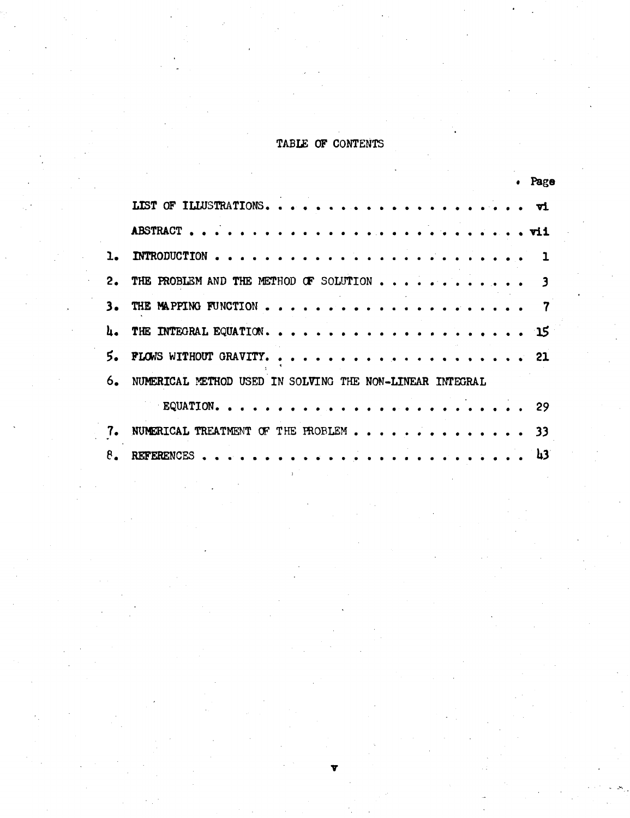## TABLE OF CONTENTS

|    |                                                          | . Page |
|----|----------------------------------------------------------|--------|
|    |                                                          |        |
|    |                                                          |        |
|    |                                                          |        |
| 2. | THE PROBLEM AND THE METHOD OF SOLUTION                   |        |
| з. |                                                          |        |
|    |                                                          |        |
| 5. |                                                          |        |
| 6. | NUMERICAL METHOD USED IN SOLVING THE NON-LINEAR INTEGRAL |        |
|    |                                                          |        |
| 7. |                                                          |        |
| 8. |                                                          | - և3   |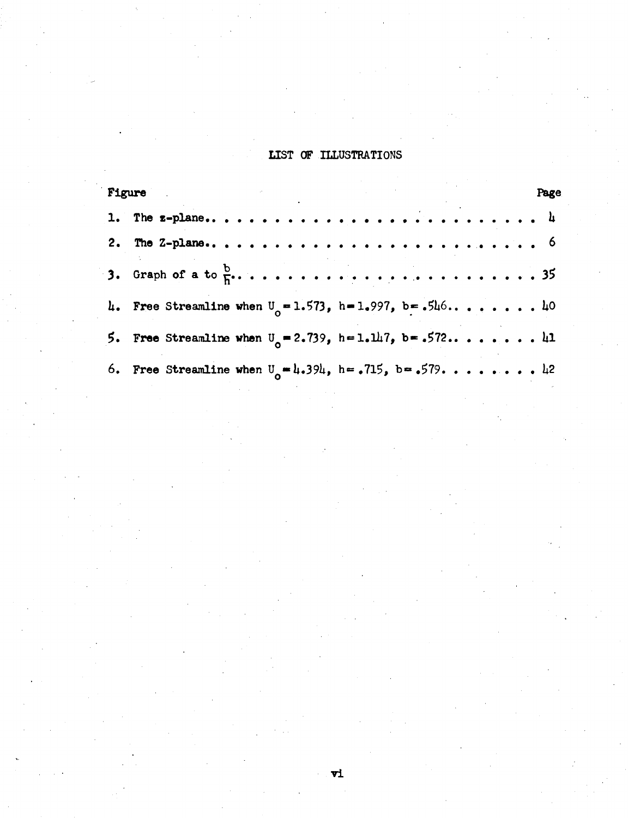#### **LIST OF ILLUSTRATIONS**

| Figure                                                       | Page |  |
|--------------------------------------------------------------|------|--|
|                                                              |      |  |
|                                                              |      |  |
|                                                              |      |  |
| 4. Free Streamline when $U_0 = 1.573$ , h=1.997, b=.546 40   |      |  |
| 5. Free Streamline when $U_0 = 2.739$ , h=1.147, b= .572 41  |      |  |
| 6. Free Streamline when $U_0 = 1.394$ , h= .715, b= .579. 12 |      |  |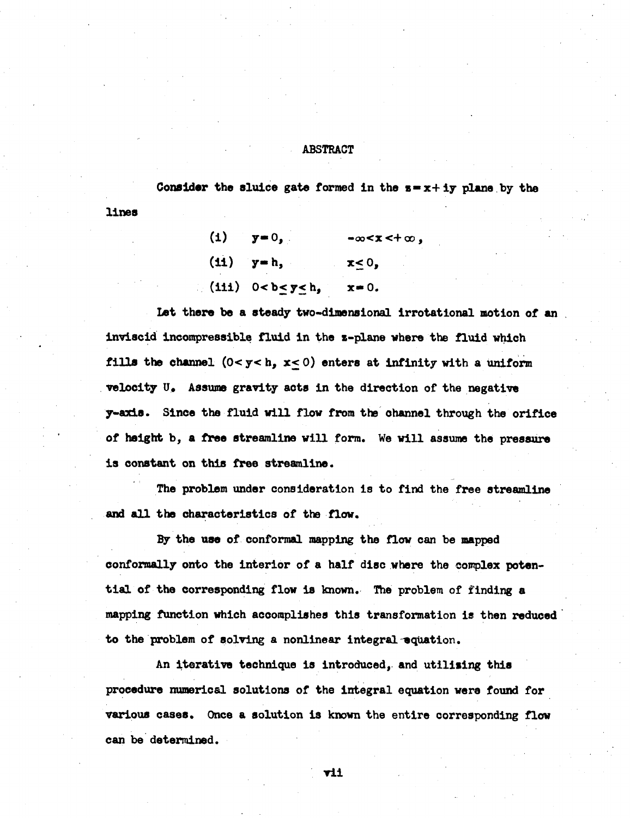#### **ABSTRACT**

Consider the sluice gate formed in the  $s = x + iy$  plane by the

| (i) $y=0$ ,                 | $-\infty < x < +\infty$ , |
|-----------------------------|---------------------------|
| $(11)$ $y=h$ ,              | $x \leq 0$ ,              |
| (iii) $0 < b \le y \le h$ , | $x = 0$ .                 |

**lines** 

**Let there be a steady two-dimensional irrotational motion of an inviscid Incompressible fluid in the z-plane where the fluid which fills the channel (0< y< h,** *x<* **0) enters at infinity with a uniform velocity U. Assume gravity acts in the direction of the negative y-axis. Since the fluid will flow from the channel through the orifice of height b, a free streamline will form. We will assume the pressure is constant on this free streamline.** 

**The problem under consideration is to find the free streamline and all the characteristics of the flow.** 

**By the use of conformal mapping the flow can be mapped conformally onto the interior of a half disc where the complex potential of the corresponding flow is known. The problem of finding a mapping function which accomplishes this transformation is then reduced to the problem of solving a nonlinear integral-equation.** 

**An iterative technique is introduced, and utilising this procedure numerical solutions of the integral equation were found for various cases. Once a solution is known the entire corresponding flow can be determined.** 

**vii**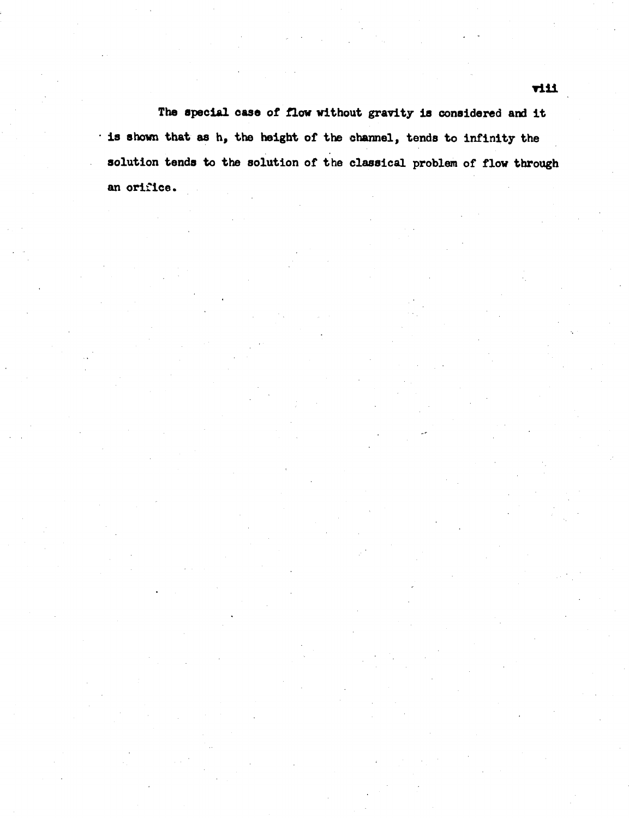**The special case of flow without gravity is considered and it is shown that as h, the height of the channel, tends to infinity the solution tends to the solution of the classical problem of flow through an orifice.**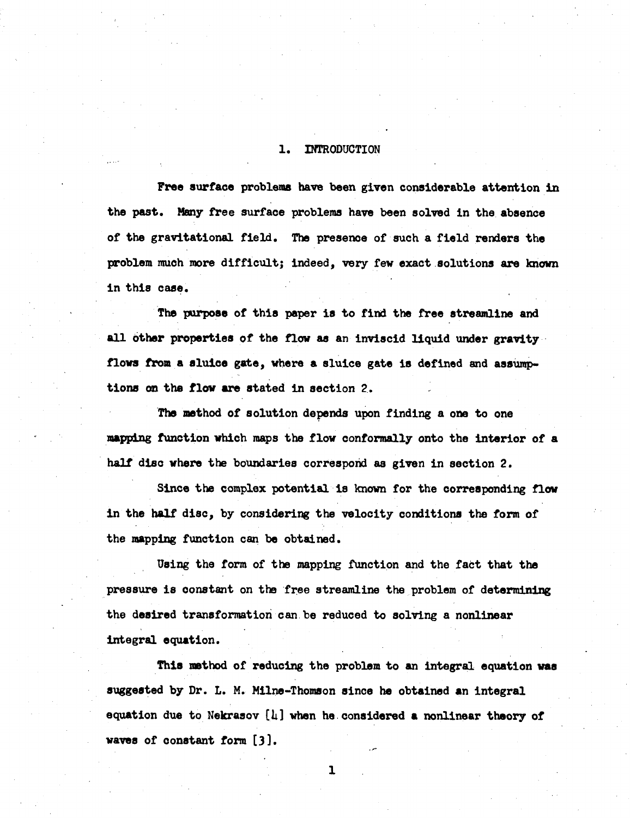#### **1. INTRODUCTION**

**Free surface problems have been given considerable attention in the past. Many free surface problems have been solved in the absence of the gravitational field. The presence of such a field renders the problem much more difficult; indeed, very few exact solutions are known in this case.** 

**The purpose of this paper is to find the free streamline and all bther properties of the flow as an inviscid liquid under gravity flows from a sluice gate, where a sluice gate is defined and assumptions on the flow are stated in section 2.** 

**The method of solution depends upon finding a one to one mapping function which maps the flow conformally onto the interior of a half disc where the boundaries correspond as given in section 2.** 

**Since the complex potential is known for the corresponding flow in the half disc, by considering the velocity conditions the form of the mapping function can be obtained.** 

**Using the form of the mapping function and the fact that the pressure is oonstant on the free streamline the problem of determining the desired transformation can be reduced to solving a nonlinear Integral equation.** 

**This method of reducing the problem to an integral equation was suggested by Dr. L. M. Milne-Thomson since he obtained an integral equation due to Nekrasov [U] when he considered a nonlinear theory of waves of constant form [3].** 

 $\mathbf{1}$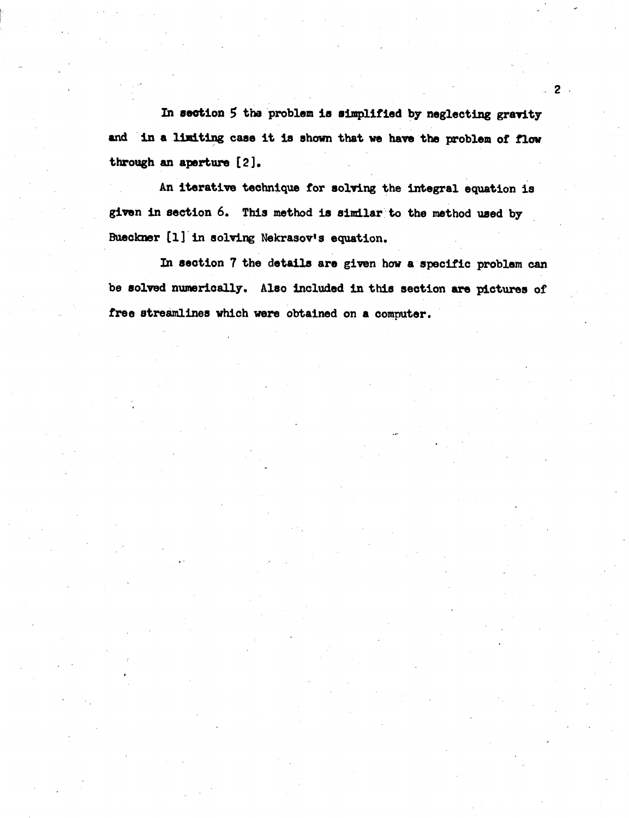In section 5 the problem is simplified by neglecting gravity **and in a limiting case it is shown that we have the problem of flow through an aperture [2].** 

**An iterative technique for solving the integral equation is given in section 6. This method is similar to the method used by Bueckner [1] in solving Nekrasov's equation.** 

**In section 7 the details are given how a specific problem can be solved numerically. Also included in this section are pictures of free streamlines which were obtained on a computer.**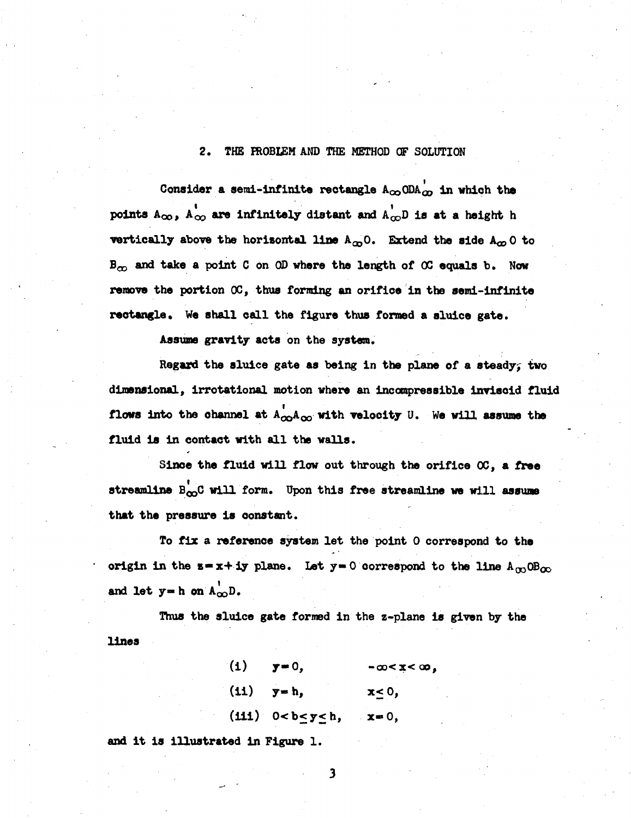**2. THE FROBI£M AND THE METHOD CF SOLUTION** 

Consider a semi-infinite rectangle  $A_{\infty}$  ODA $_{\infty}$  in which the points  $A_{\infty}$ ,  $A_{\infty}$  are infinitely distant and  $A_{\infty}$ D is at a height h **vertically above the horizontal line**  $A_{\infty}$ **0. Extend the side**  $A_{\infty}$ **0 to Bes and take a point C on QD where the length of OC equals b. Now remove the portion OC, thus forming an orifice in the semi-infinite rectangle. We shall call the figure thus fonned a sluice gate.** 

**Assume gravity acts on the system.** 

**Regard the sluice gate as being in the plane of a steady^ two dimensional, irrotatlonal motion where an incompressible inviscid fluid flows into the channel at**  $A^{\dagger}_{\alpha\alpha}A^{\dagger}_{\alpha\alpha}$  **with velocity U. We will assume the fluid is in contact with all the walls.** 

**Since the fluid will flow out through the orifice OC, a free**  streamline B<sub>QQ</sub>C will form. Upon this free streamline we will assume **that the pressure is oonstant.** 

**To fix a reference system let the point 0 correspond to the**  origin in the  $s = x + iy$  plane. Let  $y = 0$  correspond to the line  $A_{00} \text{OB}_{00}$ and let  $y = h$  on  $A_{\infty}$ <sup>t</sup>.

**Thus the sluice gate formed in the z-plane is given by the lines** 

> (i)  $y=0$ ,  $-\infty < x < \infty$ , (ii)  $y = h$ ,  $x \le 0$ ,  $(iii)$   $0 < b \le y \le h$ ,  $x = 0$ ,

**and it is illustrated in Figure 1.** 

 $\overline{\mathbf{3}}$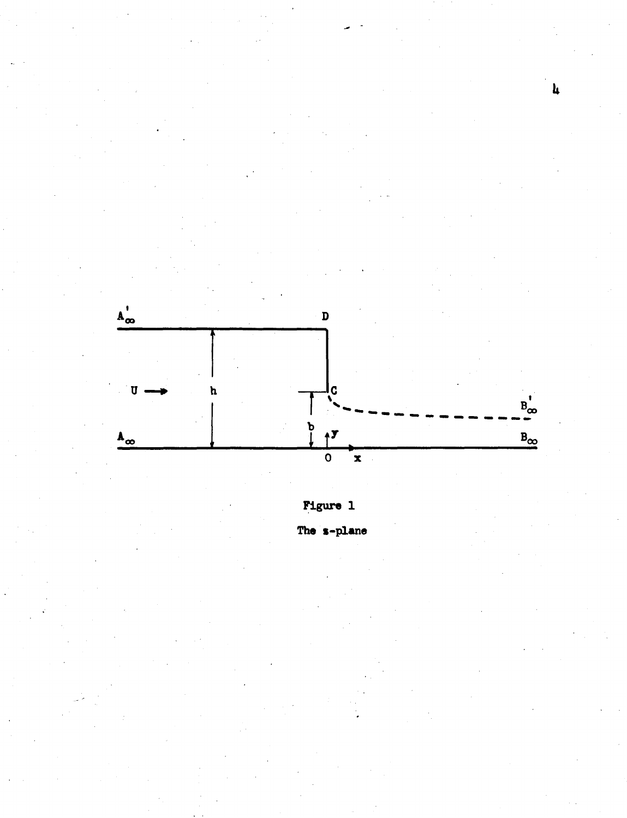

 $\mathbf{h}$ 

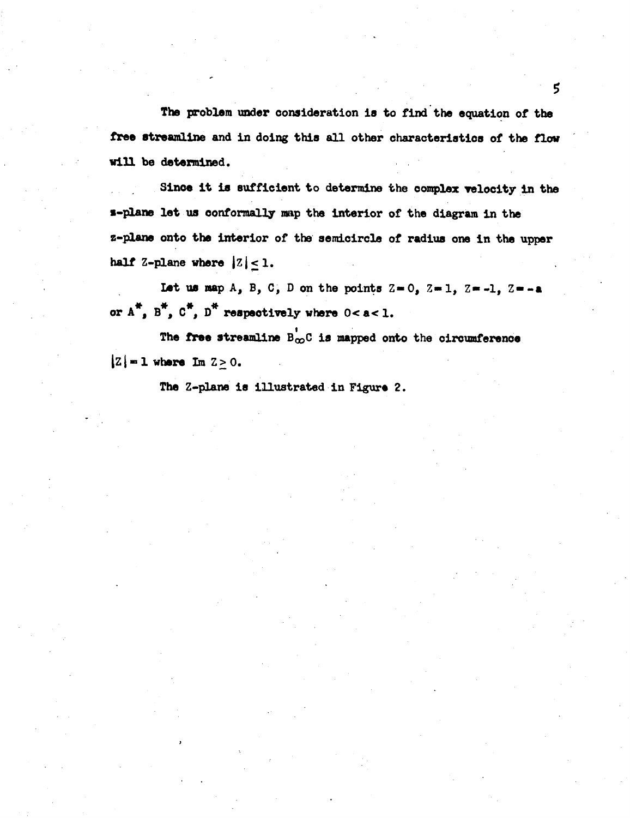**The problem under consideration is to find the equation of the free streamline and in doing this all other characteristics of the flow will be determined.** 

Since it is sufficient to determine the complex velocity in the **•-plane let us conformally map the interior of the diagram in the z-plane onto the interior of the semicircle of radius one in the upper**  half  $Z$ -plane where  $|Z| < 1$ .

Let us map  $A_2$ ,  $B_3$ ,  $C_4$ ,  $D$  on the points  $Z = 0$ ,  $Z = 1$ ,  $Z = -1$ ,  $Z = -a$ or  $A^*$ ,  $B^*$ ,  $C^*$ ,  $D^*$  respectively where  $0 < a < 1$ .

The free streamline  $B_{\infty}^{\dagger}C$  is mapped onto the circumference  $|Z|=1$  where  $\text{Im }Z>0$ .

**The Z-plane is illustrated in Figure 2.**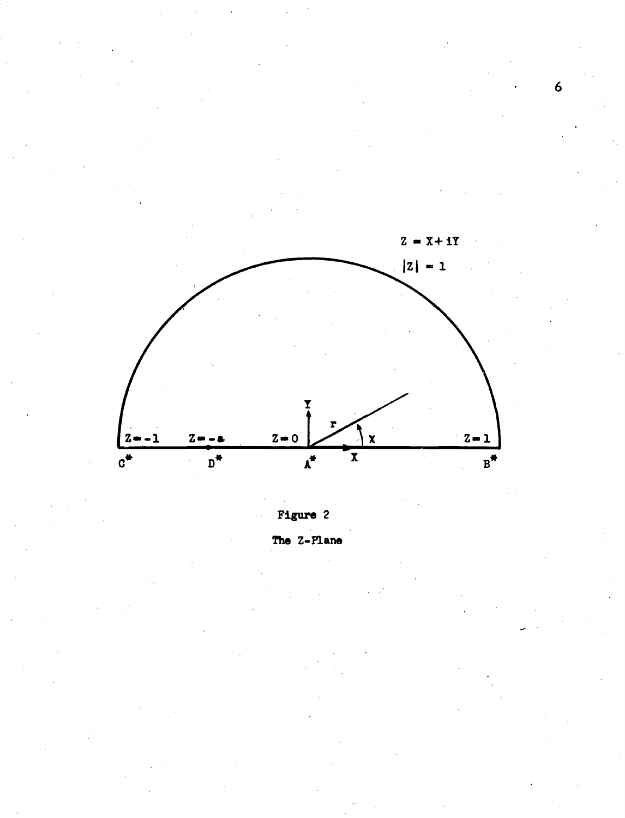



 $\boldsymbol{6}$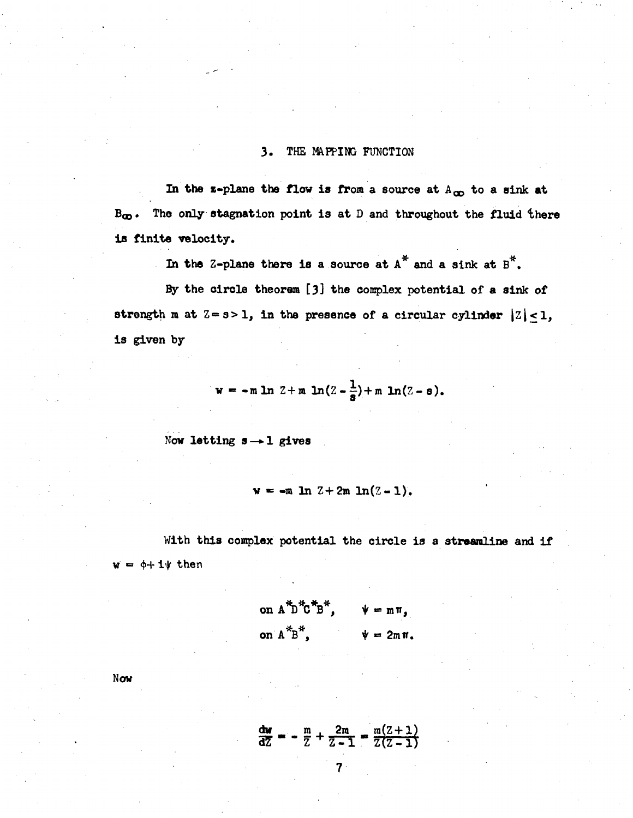#### **3. THE MAPPING FUNCTION**

In the z-plane the flow is from a source at  $A_{\infty}$  to a sink at B<sub>c</sub>. The only stagnation point is at D and throughout the fluid there **is finite velocity.** 

In the Z-plane there is a source at  $A^*$  and a sink at  $B^*$ .

**By the circle theorem [3] the complex potential of a sink of**  strength m at  $Z = s > 1$ , in the presence of a circular cylinder  $|Z| \le 1$ , **is given by** 

$$
w = -m \ln 2 + m \ln(2 - \frac{1}{s}) + m \ln(2 - s).
$$

**Now letting s—>1 gives** 

$$
w = -m \ln 2 + 2m \ln(2-1),
$$

**With this complex potential the circle is a streamline and if**   $w = \phi + 1\psi$  then

on 
$$
A^*B^*C^*B^*
$$
,  $\psi = m\pi$ ,  
on  $A^*B^*$ ,  $\psi = 2m\pi$ .

**Now** 

$$
\frac{du}{dZ} = -\frac{m}{Z} + \frac{2m}{Z-1} = \frac{m(Z+1)}{Z(Z-1)}
$$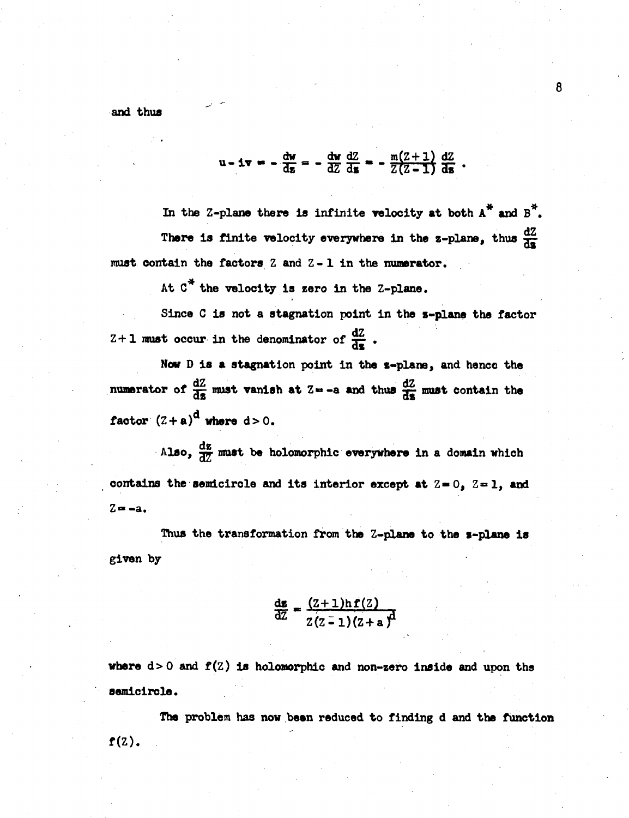**and thus** 

$$
u - iv = -\frac{du}{dz} = -\frac{du}{dZ}\frac{dZ}{ds} = -\frac{m(Z+1)}{Z(Z-1)}\frac{dZ}{ds}.
$$

In the Z-plane there is infinite velocity at both  $A^*$  and  $B^*$ . There is finite velocity everywhere in the z-plane, thus  $\frac{dZ}{dz}$ **must oontain the factors Z and Z- 1 in the numerator.** 

At C<sup>\*</sup> the velocity is zero in the Z-plane.

**Since C is not a stagnation point in the z-plane the factor**   $Z+1$  must occur in the denominator of  $\frac{dZ}{ds}$ .

Now D is a stagnation point in the *z*-plane, and hence the numerator of  $\frac{dZ}{d\epsilon}$  must vanish at Z = -a and thus  $\frac{dZ}{d\epsilon}$  must contain the factor  $(2+a)^d$  where  $d>0$ .

Also,  $\frac{dz}{d\theta}$  must be holomorphic everywhere in a domain which contains the semicircle and its interior except at  $Z = 0$ ,  $Z = 1$ , and **Z« -a.** 

**Thus the transformation from the Z-plane to the s-plane is given by** 

$$
\frac{d\mathbf{g}}{dZ} = \frac{(Z+1)\ln f(Z)}{Z(Z-1)(Z+a)}d
$$

**where d>0 and f**(z) **is holonorphic and non-zero inside and upon the semicircle.** 

**The problem has now been reduced to finding d and the function f(Z).**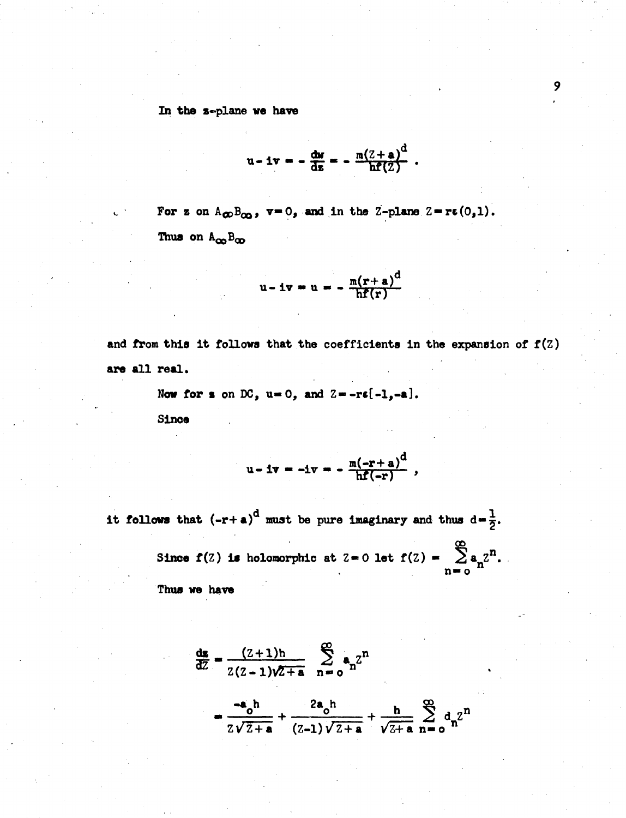*In* **the \*-plane ve have** 

$$
u - iv = -\frac{du}{dz} = -\frac{m(2+a)^d}{hf(2)}.
$$

For z on  $A_{\infty}B_{\infty}$ ,  $v=0$ , and in the Z-plane Z-re(0,1). **Thua on** 

$$
u - iv = u = -\frac{m(r+a)^d}{hf(r)}
$$

**and from this it follows that the coefficients in the expansion of f(Z) are all real.** 

Now for  $s$  on DC,  $u = 0$ , and  $Z = -r\xi[-1, -a]$ .

**Since** 

$$
u - iv = -iv = -\frac{m(-r+a)^{d}}{hf(-r)}
$$

**it follows that**  $(-r+a)^d$  **must be pure imaginary and thus**  $d=\frac{1}{2}$ **.** 

**Since f(Z) is holomorphic at Z=0 let f(Z) =**  $\sum a_n^2$ **<sup>n</sup>. n» o** 

**Thus we have** 

$$
\frac{ds}{d\overline{z}} = \frac{(z+1)h}{z(z-1)\sqrt{z+a}} \sum_{n=0}^{\infty} a_n z^n
$$
  
= 
$$
\frac{-a_0 h}{z\sqrt{z+a}} + \frac{2a_0 h}{(z-1)\sqrt{z+a}} + \frac{h}{\sqrt{z+a}} \sum_{n=0}^{\infty} a_n z^n
$$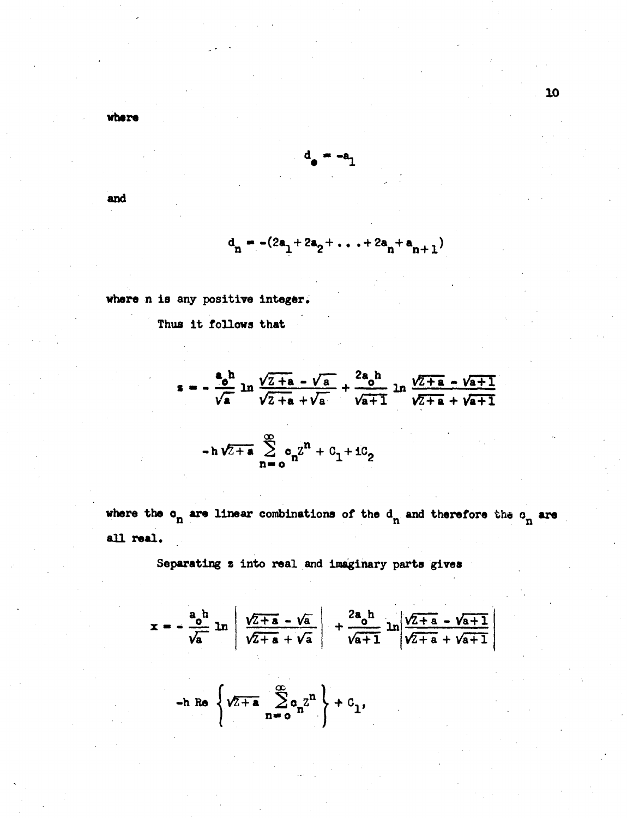vhere

$$
\mathbf{a}_\bullet = -\mathbf{a}_1
$$

and

$$
d_n = -(2a_1 + 2a_2 + \ldots + 2a_n + a_{n+1})
$$

where n is any positive integer.

Thus it follows that

$$
s = -\frac{a_0 h}{\sqrt{a}} \ln \frac{\sqrt{2 + a} - \sqrt{a}}{\sqrt{2 + a} + \sqrt{a}} + \frac{2a_0 h}{\sqrt{a + 1}} \ln \frac{\sqrt{2 + a} - \sqrt{a + 1}}{\sqrt{2 + a} + \sqrt{a + 1}}
$$
  
-h $\sqrt{2 + a} \sum_{n=0}^{\infty} c_n z^n + c_1 + ic_2$ 

where the  $o_n$  are linear combinations of the  $d_n$  and therefore the  $o_n$  are all real.

Separating z into real and imaginary parts gives

$$
x = -\frac{a_0 h}{\sqrt{a}} \ln \left| \frac{\sqrt{2+a} - \sqrt{a}}{\sqrt{2+a} + \sqrt{a}} \right| + \frac{2a_0 h}{\sqrt{a+1}} \ln \left| \frac{\sqrt{2+a} - \sqrt{a+1}}{\sqrt{2+a} + \sqrt{a+1}} \right|
$$
  
\n- h Re 
$$
\left\{ \sqrt{2+a} \sum_{n=0}^{\infty} a_n z^n \right\} + c_1,
$$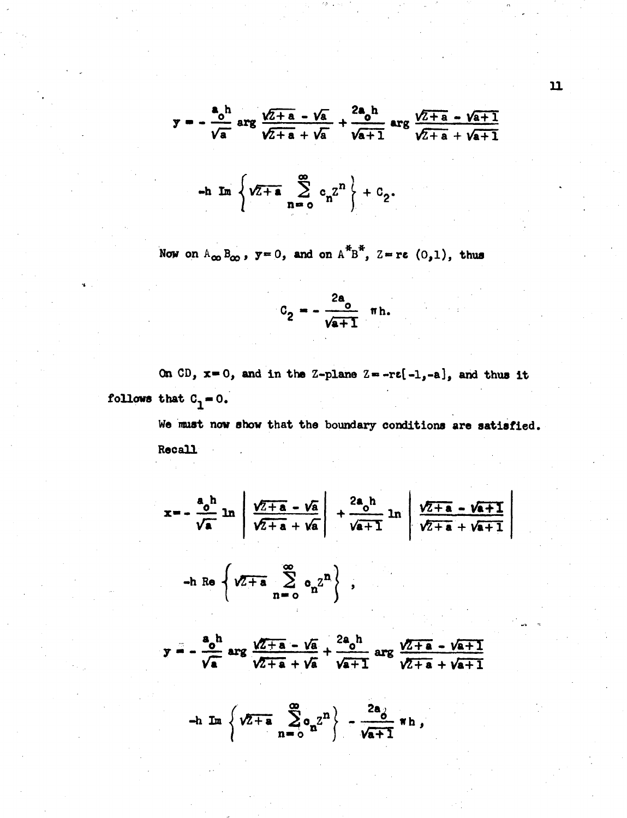$$
y = -\frac{a_0 h}{\sqrt{a}} \arg \frac{\sqrt{2+a} - \sqrt{a}}{\sqrt{2+a} + \sqrt{a}} + \frac{2a_0 h}{\sqrt{a+1}} \arg \frac{\sqrt{2+a} - \sqrt{a+1}}{\sqrt{2+a} + \sqrt{a+1}}
$$

$$
-h Im \left\{ \sqrt{z+a} \sum_{n=0}^{\infty} c_n z^n \right\} + c_2.
$$

Now on  $A_{\infty}B_{\infty}$ ,  $y=0$ , and on  $A^{*}B^{*}$ ,  $Z=re(0,1)$ , thus

$$
C_2 = -\frac{2a_0}{\sqrt{a+1}} \text{ m h.}
$$

On CD,  $x=0$ , and in the Z-plane Z=-r $\varepsilon[-1,-a]$ , and thus it follows that  $C_1 = 0$ .

> We must now show that the boundary conditions are satisfied. **Recall**

$$
x = -\frac{a_0 h}{\sqrt{a}} \ln \left| \frac{\sqrt{2+a} - \sqrt{a}}{\sqrt{2+a} + \sqrt{a}} \right| + \frac{2a_0 h}{\sqrt{a+1}} \ln \left| \frac{\sqrt{2+a} - \sqrt{a+1}}{\sqrt{2+a} + \sqrt{a+1}} \right|
$$
  
\n- h Re  $\left\{ \sqrt{2+a} - \frac{a_0}{a_0} \sum_{n=0}^{\infty} a_n z^n \right\}$ ,  
\n
$$
y = -\frac{a_0 h}{\sqrt{a}} \arg \frac{\sqrt{2+a} - \sqrt{a}}{\sqrt{2+a} + \sqrt{a}} + \frac{2a_0 h}{\sqrt{a+1}} \arg \frac{\sqrt{2+a} - \sqrt{a+1}}{\sqrt{2+a} + \sqrt{a+1}}
$$

$$
-h \operatorname{Im} \left\{ \sqrt{2+a} \sum_{n=0}^{\infty} a_n^2 \right\} - \frac{2a_0}{\sqrt{a+1}} \pi h,
$$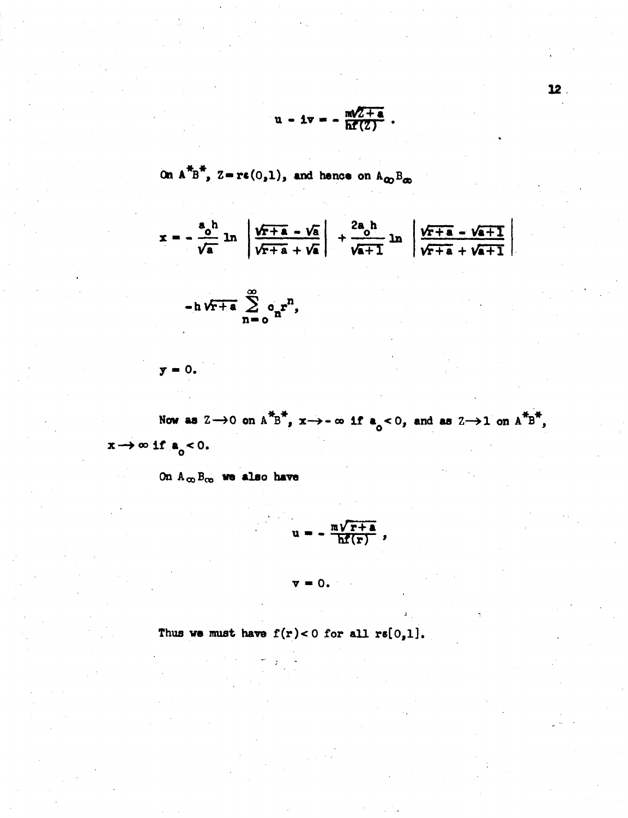$$
u - iv = - \frac{m\sqrt{2+a}}{h f(2)}.
$$

On 
$$
A^{TB^+}
$$
,  $Z = re(0,1)$ , and hence on  $A_{QD}B_{qD}$ 

$$
x = -\frac{a_0 h}{\sqrt{a}} \ln \left| \frac{\sqrt{r+a} - \sqrt{a}}{\sqrt{r+a} + \sqrt{a}} \right| + \frac{2a_0 h}{\sqrt{a+1}} \ln \left| \frac{\sqrt{r+a} - \sqrt{a+1}}{\sqrt{r+a} + \sqrt{a+1}} \right|
$$
  
= h\sqrt{r+a} \sum\_{n=0}^{\infty} a\_n r^n,

$$
\mathbf{y} = 0.
$$

Now as  $2 \rightarrow 0$  on  $A^*B^*$ ,  $x \rightarrow -\infty$  if  $a_0 < 0$ , and as  $2 \rightarrow 1$  on  $A^*B^*$ ,  $x \rightarrow \infty$  if  $a_0 < 0$ .

On  $A_{\infty}B_{\infty}$  we also have

$$
u = -\frac{m\sqrt{r+a}}{h\bar{f}(r)},
$$

 $\mathbf{v} = 0$ .

Thus we must have  $f(r) < 0$  for all  $rs[0,1]$ .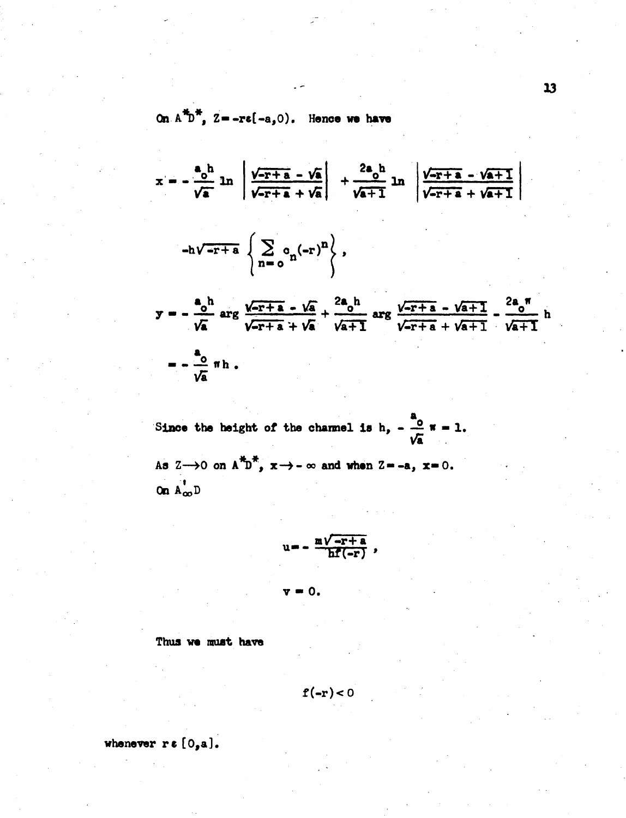On  $A^{\#}D^{\#}$ ,  $Z = -re(-a, 0)$ . Hence we have

$$
x = -\frac{a_0 h}{\sqrt{a}} \ln \left| \frac{\sqrt{-r+a} - \sqrt{a}}{\sqrt{-r+a} + \sqrt{a}} \right| + \frac{2a_0 h}{\sqrt{a+1}} \ln \left| \frac{\sqrt{-r+a} - \sqrt{a+1}}{\sqrt{-r+a} + \sqrt{a+1}} \right| \right|
$$
  
\n
$$
-h\sqrt{-r+a} \left\{ \sum_{n=0}^{\infty} c_n (-r)^n \right\},
$$
  
\n
$$
y = -\frac{a_0 h}{\sqrt{a}} \arg \frac{\sqrt{-r+a} - \sqrt{a}}{\sqrt{-r+a} + \sqrt{a}} + \frac{2a_0 h}{\sqrt{a+1}} \arg \frac{\sqrt{-r+a} - \sqrt{a+1}}{\sqrt{-r+a} + \sqrt{a+1}} - \frac{2a_0 n}{\sqrt{a+1}} h
$$
  
\n
$$
= -\frac{a_0}{\sqrt{a}} \pi h.
$$

Since the height of the channel is h,  $-\frac{a}{\sqrt{a}}\pi = 1$ . As  $Z \rightarrow 0$  on  $A^{\dagger}D^{\dagger}$ ,  $x \rightarrow -\infty$  and when  $Z = -a$ ,  $x = 0$ .

On  $A_{\infty}^{\dagger}$  D

$$
u = -\frac{m\sqrt{-r+a}}{h\Gamma(-r)}
$$

0.

Thus we must have

$$
\mathbf{f}(-\mathbf{r}) < 0
$$

whenever  $r \in [0, a]$ .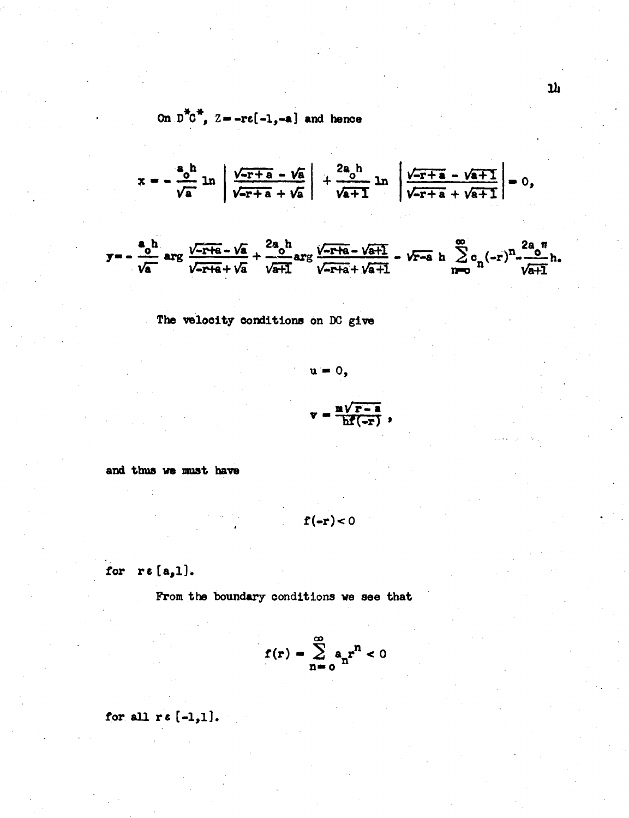On 
$$
D^{\pi}C^{\pi}
$$
,  $Z = -r\varepsilon[-1, -a]$  and hence

$$
x = -\frac{a_0 h}{\sqrt{a}} \ln \left| \frac{\sqrt{-r+a} - \sqrt{a}}{\sqrt{-r+a} + \sqrt{a}} \right| + \frac{2a_0 h}{\sqrt{a+1}} \ln \left| \frac{\sqrt{-r+a} - \sqrt{a+1}}{\sqrt{-r+a} + \sqrt{a+1}} \right| = 0,
$$

$$
y = -\frac{a_0 h}{\sqrt{a}}
$$
 arg  $\frac{\sqrt{-r+a} - \sqrt{a}}{\sqrt{-r+a} + \sqrt{a}} + \frac{2a_0 h}{\sqrt{a+1}}$  arg  $\frac{\sqrt{-r+a} - \sqrt{a+1}}{\sqrt{-r+a} + \sqrt{a+1}} - \sqrt{r-a} h \sum_{n=0}^{\infty} c_n (-r)^n \frac{2a_0 n}{\sqrt{a+1}} h$ 

The velocity conditions on DC give

$$
u = 0,
$$
  

$$
v = \frac{m\sqrt{r-a}}{hf(-r)},
$$

and thus we must have

$$
\mathbf{f}(-\mathbf{r})<0
$$

for  $re[a,1].$ 

From the boundary conditions we see that

$$
f(r) = \sum_{n=0}^{\infty} a_n r^n < 0
$$

for all  $re[-1,1].$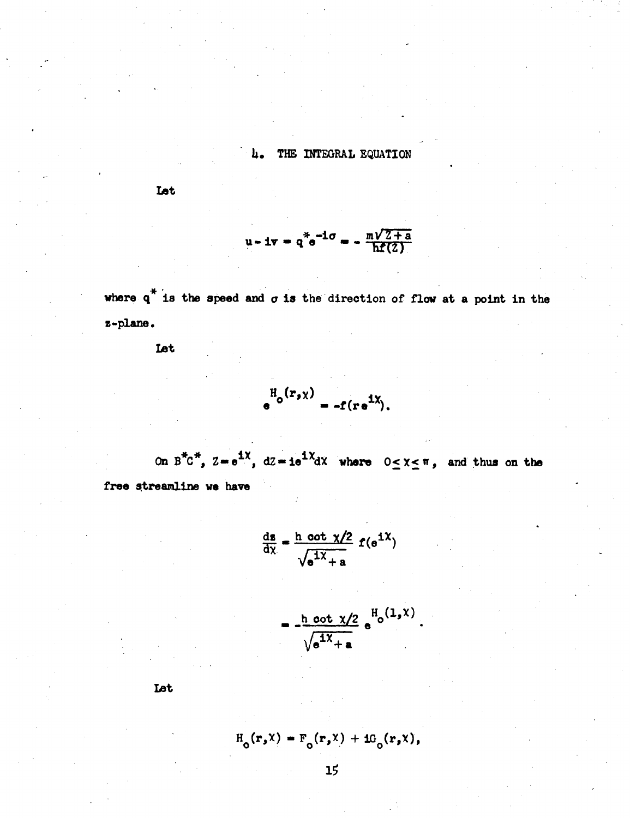THE INTEGRAL EQUATION  $\mathbf{h}_{\bullet}$ 

**Let** 

$$
u - 1v = q^{*}e^{-10} = -\frac{m\sqrt{2+a}}{h\mathbf{f}(2)}
$$

where  $q^*$  is the speed and  $\sigma$  is the direction of flow at a point in the z-plane.

Let

$$
e^{\mathrm{H}_o(\mathbf{r}_s\chi)} = -f(\mathbf{r}e^{\mathrm{i}\chi}).
$$

On  $B^{\dagger}C^{\dagger}$ ,  $Z=e^{iX}$ ,  $dZ=ie^{iX}dX$  where  $0 \leq X \leq \pi$ , and thus on the free streamline we have

$$
\frac{ds}{dx} = \frac{h \cot \chi/2}{\sqrt{e^{1\chi} + a}} f(e^{1\chi})
$$

$$
= \frac{\text{h} \cot \chi/2}{\sqrt{\text{d}^1 \chi} + \text{a}} \, \text{e}^{\text{H}_0(1,\chi)}.
$$

Let

 $H_o(r, x) = F_o(r, x) + iG_o(r, x),$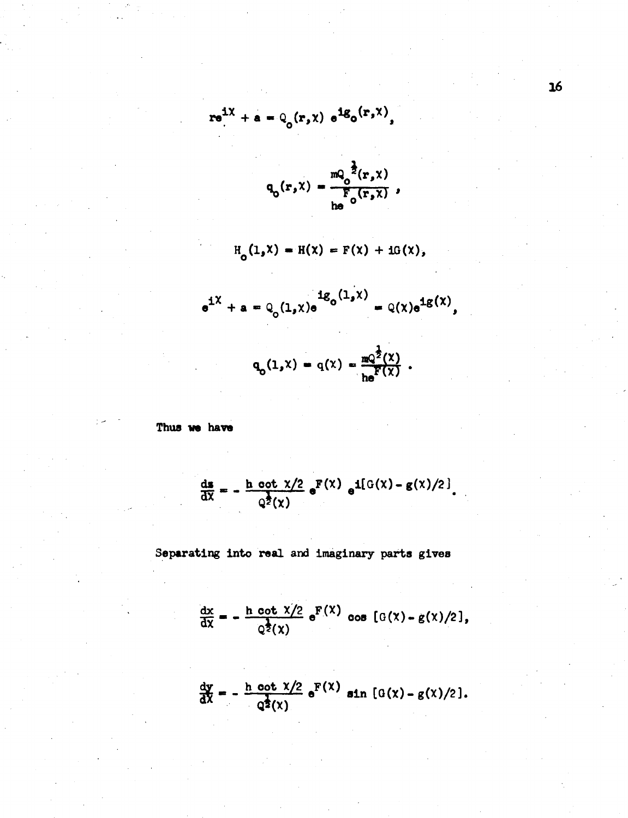$$
re^{iX} + a = Q_0(r, x) e^{iQ_0(r, x)},
$$

$$
q_o(r,x) = \frac{mQ_o^{\frac{1}{2}}(r,x)}{F_o(r,x)},
$$

$$
H_o(1, x) = H(x) = F(x) + iG(x),
$$

$$
e^{iX} + a = Q_0(1, x)e^{iQ_0(1, x)} = Q(x)e^{iQ(x)},
$$
  
 $q_0(1, x) = q(x) = \frac{mQ^{\frac{1}{2}}(x)}{he^{F(x)}}.$ 

Thus we have

$$
\frac{ds}{dX} = -\frac{h \cot \chi/2}{Q^2(\chi)} e^{F(\chi)} e^{i[(G(\chi) - g(\chi)/2)]}
$$

Separating into real and imaginary parts gives

$$
\frac{dx}{dx} = -\frac{h \cot x/2}{Q^{\frac{1}{2}}(x)} e^{F(x)} \cos [G(x) - g(x)/2],
$$

$$
\frac{dy}{dX} = -\frac{h \cot \chi/2}{q^{\frac{1}{2}}(\chi)} e^{F(\chi)} \sin \left[ G(\chi) - g(\chi)/2 \right].
$$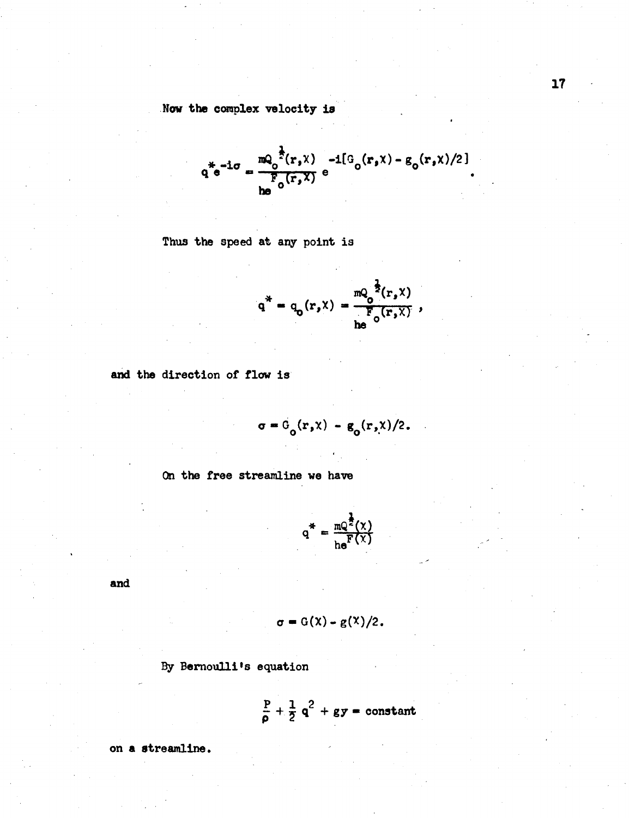Now the complex velocity is

$$
q^* e^{-i\sigma} = \frac{mQ_0^{\frac{1}{2}}(r, x) -i\left[G_0(r, x) - g_0(r, x)/2\right]}{F_0(r, x)} e
$$

Thus the speed at any point is

$$
q^* = q_o(r, x) = \frac{mQ_o^{\frac{1}{2}}(r, x)}{he^{r_o(r, x)}},
$$

and the direction of flow is

$$
\sigma = G_o(r, x) - g_o(r, x)/2.
$$

On the free streamline we have

$$
q^* = \frac{mQ^{\frac{1}{2}}(\chi)}{he^F(\chi)}
$$

and

$$
\sigma = G(\lambda) - g(\lambda)/2.
$$

By Bernoulli's equation

$$
\frac{P}{\rho} + \frac{1}{2} q^2 + gy = constant
$$

on a streamline.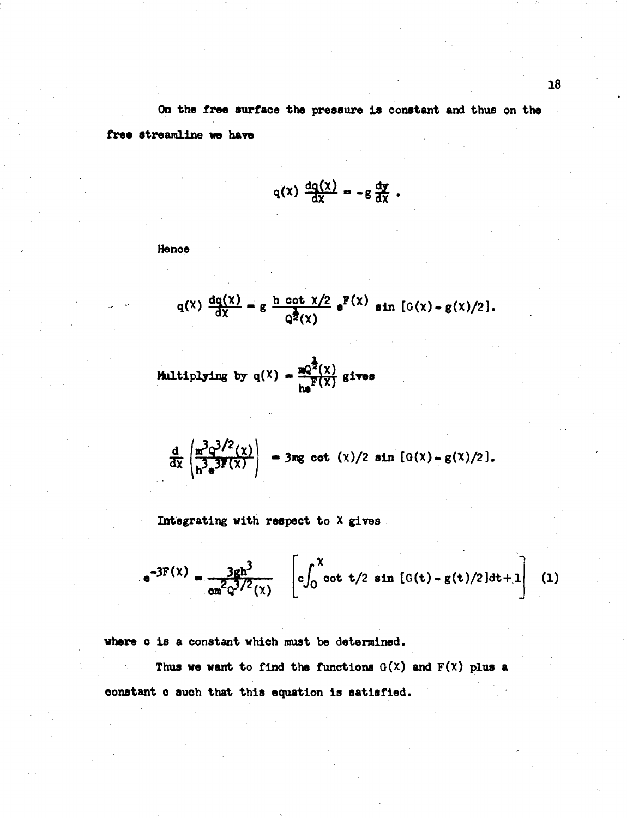**On the free surfaoe the pressure is constant and thus on the free streamline we have** 

$$
q(x) \frac{dq(x)}{dx} = -g \frac{dy}{dx}.
$$

**Hence** 

$$
q(x) \frac{dq(x)}{dx} = g \frac{h \cot \chi/2}{Q^2(x)} e^{F(x)} \sin [G(x) - g(x)/2].
$$

Multiplying by  $q(X) = \frac{mq^{\frac{1}{2}}(X)}{h e^{\frac{1}{2}(X)}}$  gives

$$
\frac{d}{dx} \left( \frac{m^3 q^{3/2}(x)}{n^3 s^{3/2}(x)} \right) = 3mg \cot (x)/2 \sin [G(x) - g(x)/2].
$$

**Integrating with respect to X gives** 

$$
e^{-3F(X)} = \frac{3gh^3}{\alpha m^2 Q^{3/2}(x)} \left[ c \int_0^X \cot t/2 \sin [G(t) - g(t)/2] dt + 1 \right] (1)
$$

**where o is a constant which must be determined.** 

Thus we want to find the functions  $G(X)$  and  $F(X)$  plus a  $\eta_{\rm c}$  ,  $\sim$ **constant o such that this equation is satisfied.**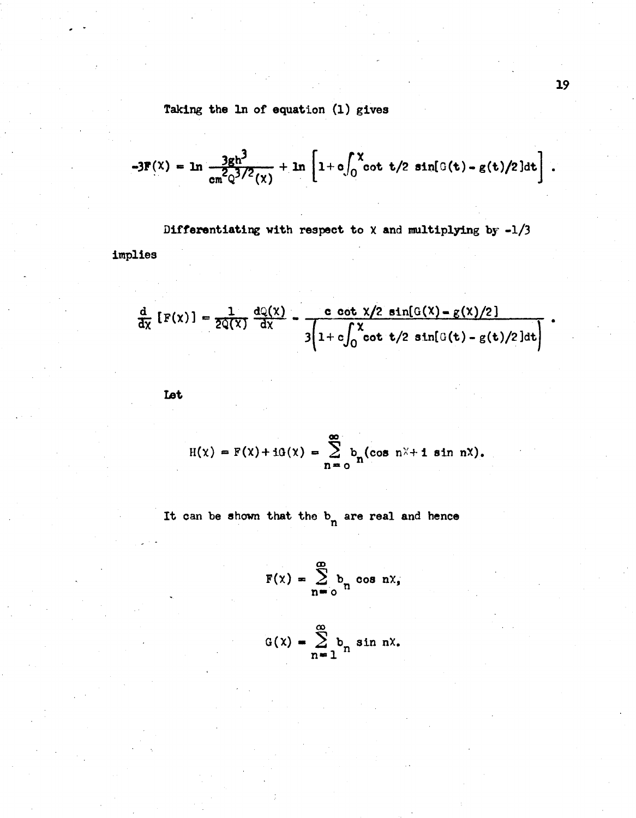Taking the ln of equation (1) gives

$$
-3F(x) = \ln \frac{3gh^3}{\text{cn}^2Q^{3/2}(x)} + \ln \left[1 + \text{o}\int_0^x \cot t/2 \sin[0(t) - g(t)/2]dt\right].
$$

Differentiating with respect to  $\chi$  and multiplying by -1/3

implies

$$
\frac{d}{dx}\left[F(x)\right] = \frac{1}{2Q(x)}\frac{dQ(x)}{dx} - \frac{c \cot \frac{x}{2} \sin[G(x) - g(x)/2]}{3\left(1 + c \int_0^x \cot \frac{t}{2} \sin[G(t) - g(t)/2]dt\right)}
$$

**Let** 

$$
H(\chi) = F(\chi) + iG(\chi) = \sum_{n=0}^{\infty} b_n(\cos n\chi + i \sin n\chi),
$$

It can be shown that the  $b_n$  are real and hence

$$
F(x) = \sum_{n=0}^{\infty} b_n \cos nx,
$$

$$
G(x) = \sum_{n=1}^{\infty} b_n \sin nx.
$$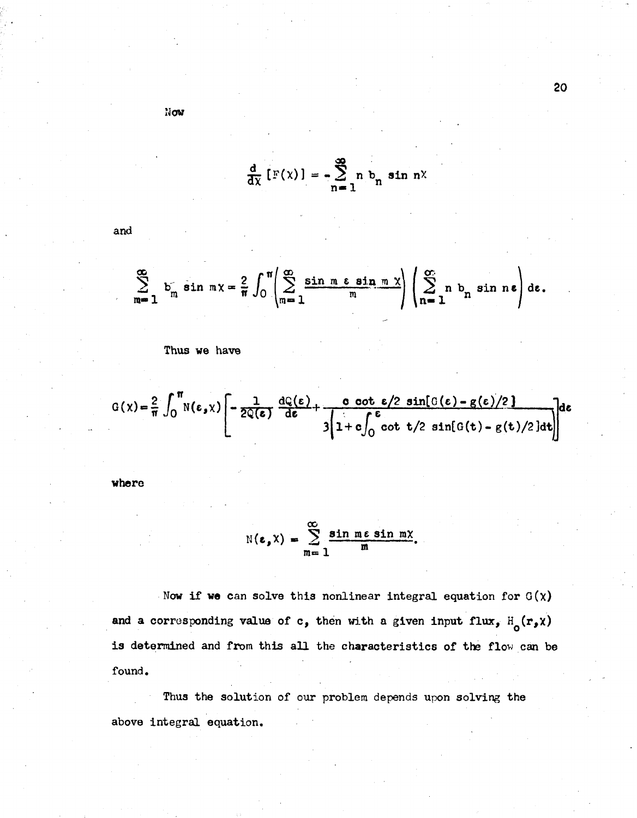$\frac{d}{dx}$ [F(x)] =  $-\sum_{n=1}^{\infty} n b_n \sin nx$ 

$$
\sum_{m=1}^{\infty} b_m \sin mx = \frac{2}{\pi} \int_0^{\pi} \left( \sum_{m=1}^{\infty} \frac{\sin m \cos n m x}{m} \right) \left( \sum_{n=1}^{\infty} n b_n \sin ne \right) de.
$$

**Thus we have** 

$$
G(x) = \frac{2}{\pi} \int_0^{\pi} N(\epsilon, x) \left[ -\frac{1}{2Q(\epsilon)} \frac{dQ(\epsilon)}{d\epsilon} + \frac{0 \cot \epsilon/2 \sin[\theta(\epsilon) - g(\epsilon)/2]}{3(1 + c \int_0^{\epsilon} \cot t/2 \sin[\theta(t) - g(t)/2] dt)} \right] d\epsilon
$$

**where** 

**and** 

$$
N(\varepsilon, X) = \sum_{m=1}^{\infty} \frac{\sin m \varepsilon \sin m X}{m}.
$$

Now if we can solve this nonlinear integral equation for  $G(x)$ and a corresponding value of c, then with a given input flux,  $H_o(r, x)$ is determined and from this all the characteristics of the flow can be **found.** 

**Thus the solution of our problem depends upon solving the above integral equation.** 

$$
\texttt{Now}
$$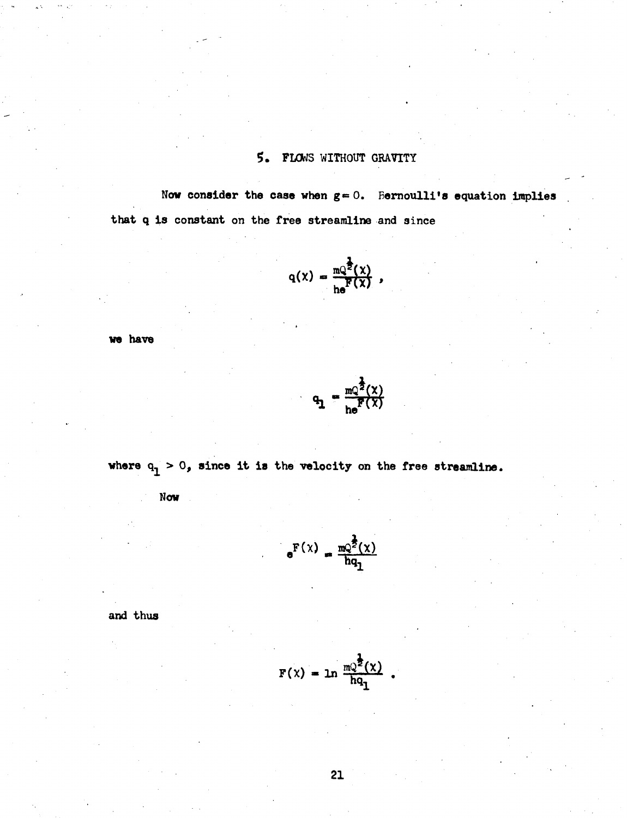#### **5. FLOWS WITHOUT GRAVITY**

Now consider the case when  $g=0$ . Bernoulli's equation implies **that q is constant on the free streamline and since** 

$$
q(x) = \frac{mQ^{\frac{1}{2}}(x)}{he^F(x)},
$$

**we have** 

$$
q_1 = \frac{mQ^{\frac{1}{2}}(X)}{he^{\frac{1}{2}}(X)}
$$

where  $q_1 > 0$ , since it is the velocity on the free streamline.

**Now** 

$$
e^{\mathbf{F}(x)} = \frac{mQ^{\frac{1}{2}}(x)}{hq_1}
$$

**and thus** 

$$
F(x) = \ln \frac{mQ^{\frac{1}{2}}(x)}{hq_1}.
$$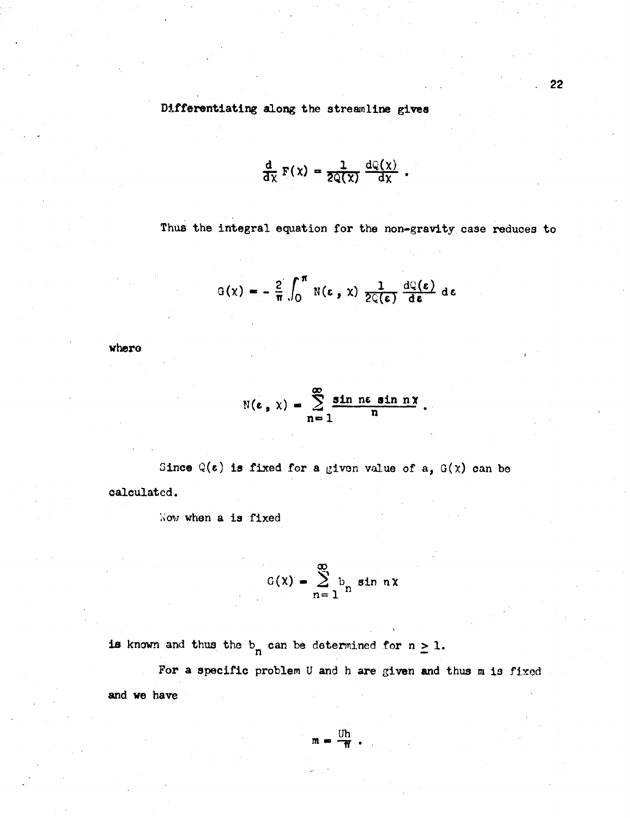**Differentiating along the streamline gives** 

$$
\frac{\mathrm{d}}{\mathrm{d}\mathrm{x}}\mathrm{F}(\mathrm{x})=\frac{1}{2\mathrm{Q}(\mathrm{x})}\frac{\mathrm{d}\mathrm{Q}(\mathrm{x})}{\mathrm{d}\mathrm{x}}.
$$

**Thus the integral equation for the non-gravity case reduces to** 

$$
G(x) = -\frac{2}{\pi} \int_0^{\pi} N(\epsilon, x) \frac{1}{2C(\epsilon)} \frac{dQ(\epsilon)}{d\epsilon} d\epsilon
$$

**where** 

$$
\mathbb{N}(\epsilon, x) = \sum_{n=1}^{\infty} \frac{\sin n\epsilon \sin n\chi}{n}.
$$

Since  $Q(\epsilon)$  is fixed for a given value of a,  $G(X)$  can be **calculated.** 

**Viow when a is fixed** 

$$
G(x) = \sum_{n=1}^{\infty} b_n \sin nx
$$

**is** known and thus the  $b_n$  can be determined for  $n \geq 1$ .

For a specific problem U and h are given and thus m is fixed **and we have** 

$$
m = \frac{Uh}{H} .
$$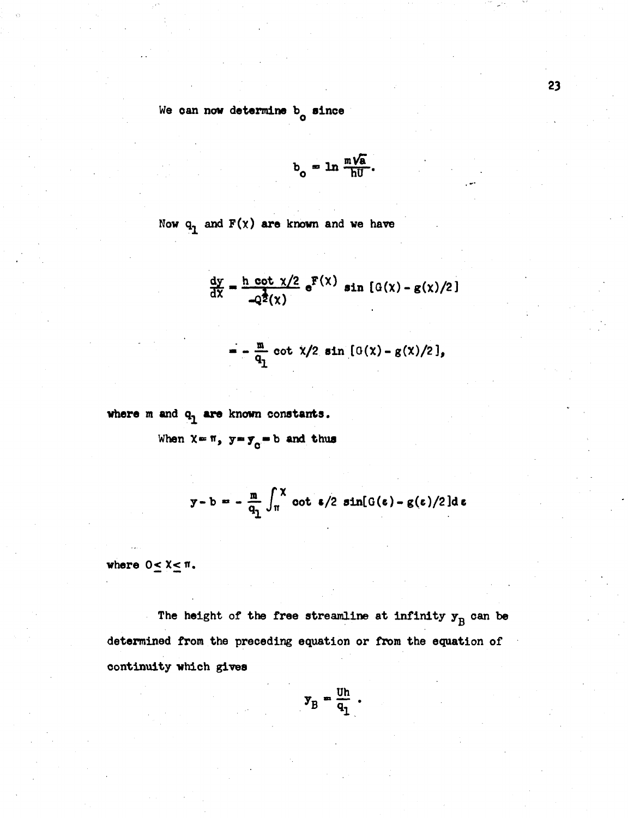**We oan now determine b since o** 

$$
b_o = \ln \frac{m\sqrt{a}}{hU}.
$$

Now  $q_1$  and  $F(x)$  are known and we have

$$
\frac{dy}{dx} = \frac{h \cot \chi/2}{-Q^{\frac{1}{2}}(\chi)} e^{F(\chi)} \sin \left[ G(\chi) - g(\chi)/2 \right]
$$

$$
= - \frac{m}{q_1} \cot \frac{x}{2} \sin \left[ \frac{G(x) - g(x)}{2} \right],
$$

where m and  $q_1$  are known constants.

When  $X = \pi$ ,  $y = y_0 = b$  and thus

$$
y-b = -\frac{m}{q_1} \int_{\pi}^{X} \cot \epsilon/2 \sin[G(\epsilon) - g(\epsilon)/2] d\epsilon
$$

where  $0 \leq X \leq \pi$ .

The height of the free streamline at infinity  $y^B_B$  can be **determined from the preceding equation or from the equation of continuity which gives** 

$$
\mathbf{y}_B = \frac{\mathbf{U} \mathbf{h}}{\mathbf{q}_1} \; .
$$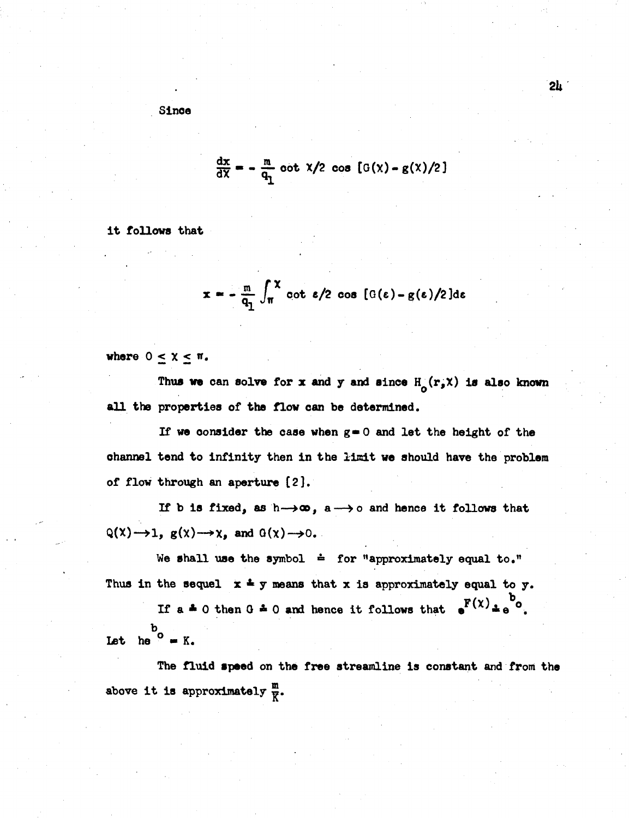# $\frac{dx}{dX} = -\frac{m}{q_n}$  oot  $x/2$  cos  $[G(x) - g(x)/2]$

**2U** 

**it follows that** 

$$
x = -\frac{m}{q_1} \int_{\pi}^{x} \cot \epsilon/2 \cos \left[ G(\epsilon) - g(\epsilon)/2 \right] d\epsilon
$$

where  $0 \leq \chi \leq \pi$ .

Thus we can solve for x and y and since  $H_{\alpha}(r,\chi)$  is also known **all the properties of the flow can be determined.** 

**If we oonsider the case when g»0 and let the height of the**  channel tend to infinity then in the limit we should have the problem **of flow through an aperture [2],** 

**If b is fixed, as h—»co, a—>0 and hence it follows that**   $Q(X) \rightarrow 1$ ,  $g(X) \rightarrow X$ , and  $Q(X) \rightarrow 0$ .

We shall use the symbol  $\dot{=}$  for "approximately equal to." Thus in the sequel  $x \triangleq y$  means that x is approximately equal to y.

If  $a \triangleq 0$  then  $0 \triangleq 0$  and hence it follows that  $a^{F(\chi)} \triangleq a^{b}$ .  $\frac{b}{c}$  **Let** he  $\frac{b}{c}$  **=** K.

**The fluid speed on the free streamline is constant and from the**  above it is approximately  $\frac{m}{K}$ .

**Since**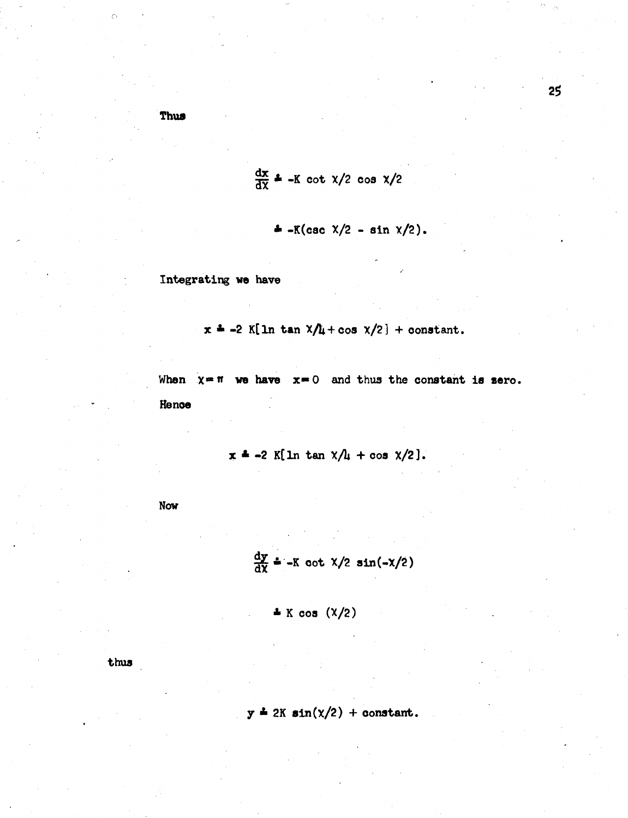Thus

 $\mathcal{C}$ 

$$
\frac{dx}{dx} = -K \cot \frac{x}{2} \cos \frac{x}{2}
$$

$$
\triangleq -K(\csc \frac{x}{2} - \sin \frac{x}{2}).
$$

Integrating we have

 $x = -2$  K[ln tan  $x/t + cos x/2$ ] + constant.

When  $x = \pi$  we have  $x = 0$  and thus the constant is sero.

Hence

 $x = -2$  K[ln tan  $x/l_1 + \cos x/2$ ].

Now

$$
\frac{dy}{dx} = -K \cot \frac{x}{2} \sin(-\frac{x}{2})
$$

 $\pm$  K cos  $(\frac{\chi}{2})$ 

thus

$$
y = 2K \sin(\chi/2) + \text{constant}.
$$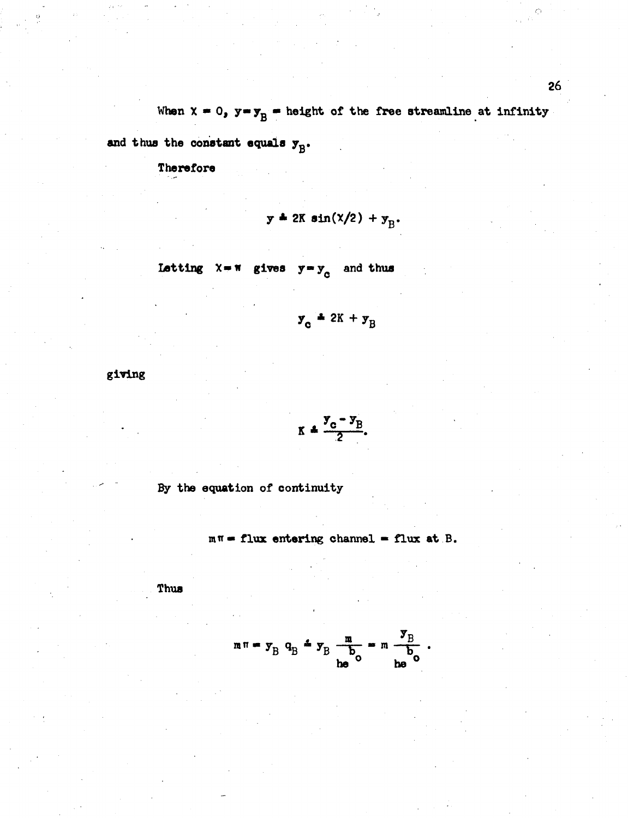When  $x = 0$ ,  $y = y_B$  = height of the free streamline at infinity

and thus the constant equals  $y_{B}$ .

Therefore

$$
y = 2K \sin(\chi/2) + y_{\rm p}.
$$

Letting  $X = N$  gives  $y = y_c$  and thus

$$
\mathbf{y}_{\rm c} = 2\mathbf{K} + \mathbf{y}_{\rm B}
$$

giving

$$
K = \frac{y_c - y_B}{2}
$$

By the equation of continuity

 $m\pi$  = flux entering channel = flux at B.

Thus

$$
m\pi = y_B q_B \stackrel{\text{d}}{=} y_B \frac{m}{b_0} = m \frac{y_B}{b_0}.
$$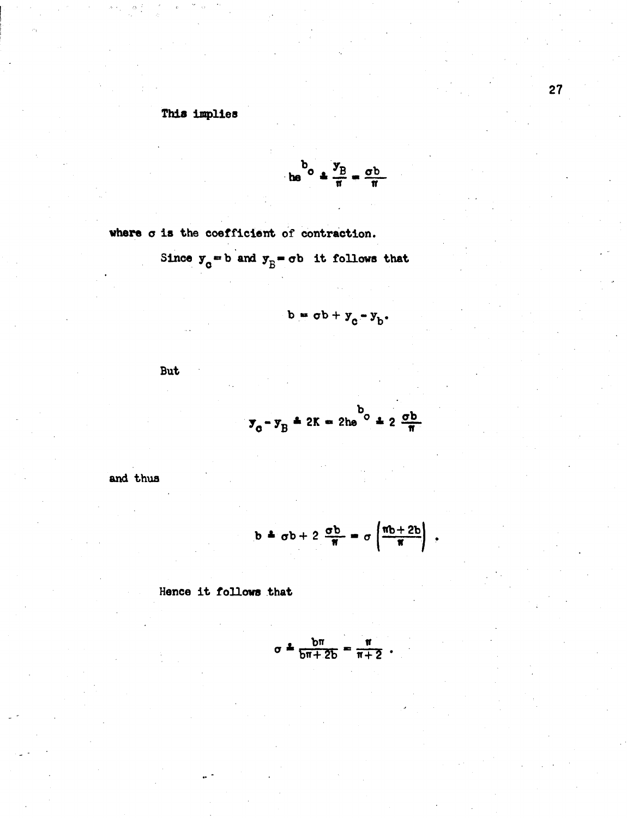## This implies

$$
\frac{b}{\ln 2} \cdot \frac{y}{\pi} = \frac{\sigma b}{\pi}
$$

where  $\sigma$  is the coefficient of contraction.

Since  $y_0 = b$  and  $y_B = \sigma b$  it follows that

$$
b = \sigma b + y_c - y_h.
$$

**But** 

$$
\mathbf{y}_0 - \mathbf{y}_B = 2K = 2h e^{b} + 2 \frac{\sigma b}{\pi}
$$

and thus

$$
b = \sigma b + 2 \frac{\sigma b}{\pi} = \sigma \left( \frac{\pi b + 2b}{\pi} \right)
$$

Hence it follows that

$$
\sigma = \frac{bn}{bn + 2b} = \frac{n}{n+2} .
$$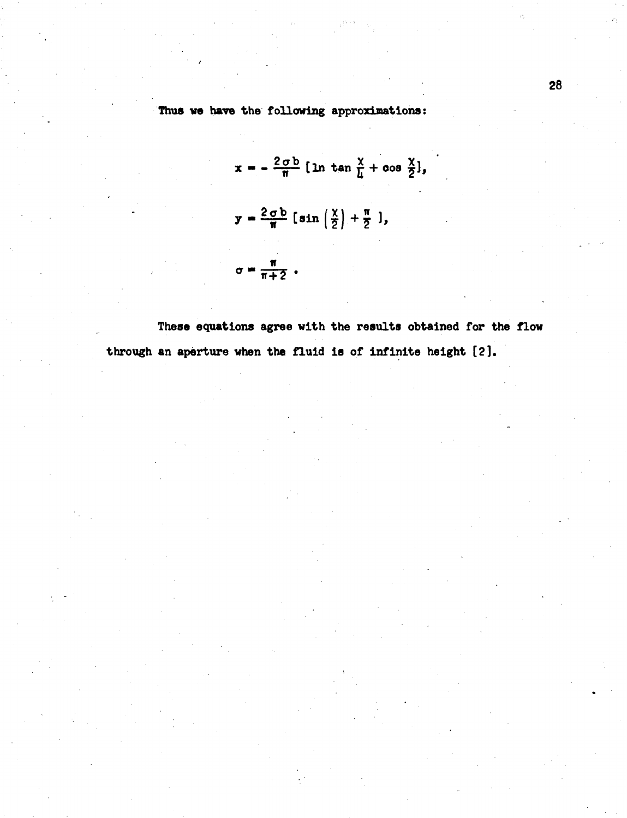#### Thus we have the following approximations:

 $x = -\frac{2 \sigma b}{\pi} [\ln \tan \frac{x}{\mu} + \cos \frac{x}{2}],$  $y = \frac{2 \sigma b}{\pi} \left[ \sin \left( \frac{x}{2} \right) + \frac{\pi}{2} \right],$  $\sigma = \frac{\pi}{\pi + 2}$ .

These equations agree with the results obtained for the flow through an aperture when the fluid is of infinite height [2].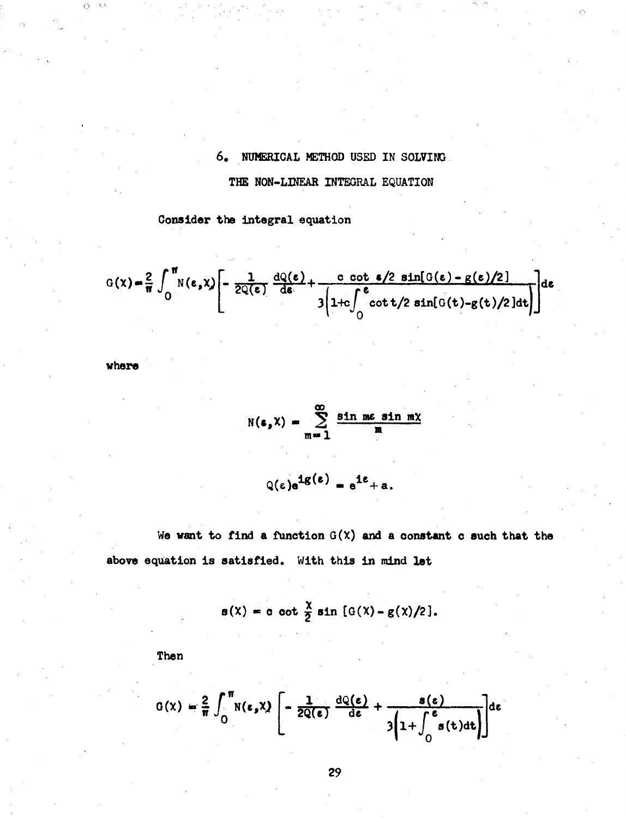## **6. NUMERICAL METHOD USED IN SOLVING**

Ò

#### **THE NON-LINEAR INTEGRAL EQUATION**

**Consider the Integral equation** 

Consider the integral equation  
\n
$$
G(x) = \frac{2}{\pi} \int_0^{\pi} N(\epsilon, x) \left[ -\frac{1}{2Q(\epsilon)} \frac{dQ(\epsilon)}{d\epsilon} + \frac{c \cot \epsilon/2 \sin[G(\epsilon) - g(\epsilon)/2]}{3 \left( 1 + c \int_0^{\epsilon} \cot t/2 \sin[G(t) - g(t)/2] dt \right)} \right] d\epsilon
$$

**where** 

 $O - O$ 

$$
N(s, X) = \sum_{m=1}^{\infty} \frac{\sin mc \sin mx}{m}
$$

 $Q(\epsilon) e^{i g(\epsilon)} = e^{i \epsilon} + a.$ 

**We want to find a function G(X) and a constant c such that the** 

above equation is satisfied. With this in mind let  

$$
s(x) = c \cot \frac{x}{2} \sin [G(x) - g(x)/2].
$$

**Then** 

Then  
\n
$$
G(x) = \frac{2}{\pi} \int_0^{\pi} N(\epsilon, x) \left[ -\frac{1}{2Q(\epsilon)} \frac{dQ(\epsilon)}{d\epsilon} + \frac{s(\epsilon)}{3\left(1 + \int_0^{\epsilon} s(t)dt\right)} \right] d\epsilon
$$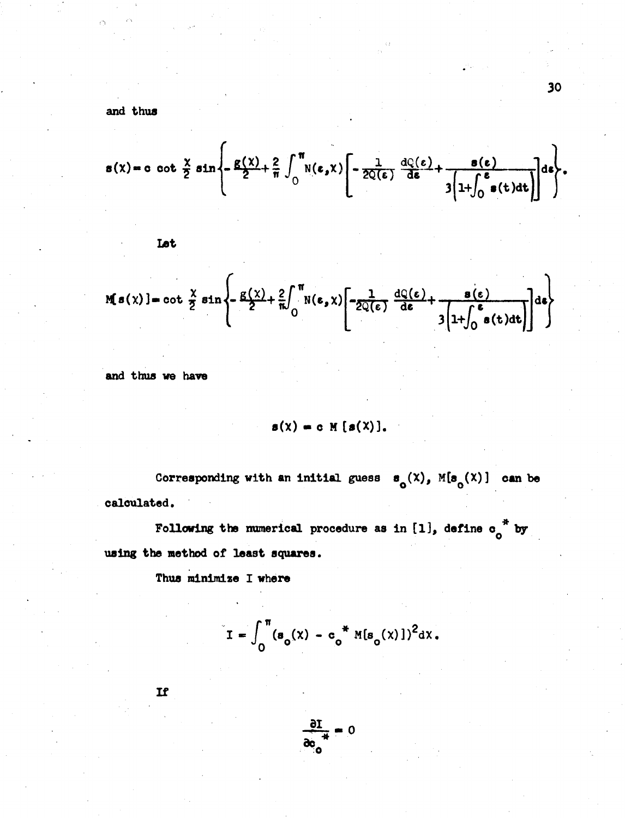and thus

$$
s(x) = c \cot \frac{x}{2} \sin \left\{-\frac{g(x)}{2} + \frac{2}{\pi} \int_0^{\pi} N(\epsilon, x) \left[ -\frac{1}{2Q(\epsilon)} \frac{dQ(\epsilon)}{d\epsilon} + \frac{s(\epsilon)}{3 \left[ 1 + \int_0^{\epsilon} s(t) dt \right]} \right] \right\}.
$$

$$
M[s(x)] = \cot \frac{x}{2} \sin \left\{-\frac{g(x)}{2} + \frac{2}{\pi} \int_0^{\pi} N(\epsilon, x) \left[ -\frac{1}{2Q(\epsilon)} \frac{dQ(\epsilon)}{d\epsilon} + \frac{g(\epsilon)}{3 \left[ 1 + \int_0^{\epsilon} s(t) dt \right]} \right] \right\}
$$

and thus we have

$$
s(\lambda) = c \mathbb{M} [s(\lambda)].
$$

Corresponding with an initial guess  $\mathbf{s}_{0}(x)$ ,  $M(\mathbf{s}_{0}(x))$  can be calculated.

Following the numerical procedure as in [1], define  $o_0^*$  by using the method of least squares.

Thus minimize I where

$$
I = \int_0^{\pi} (s_o(x) - c_o^* M[s_o(x)])^2 dx.
$$

If

$$
\frac{\partial I}{\partial c_{\alpha}} = 0
$$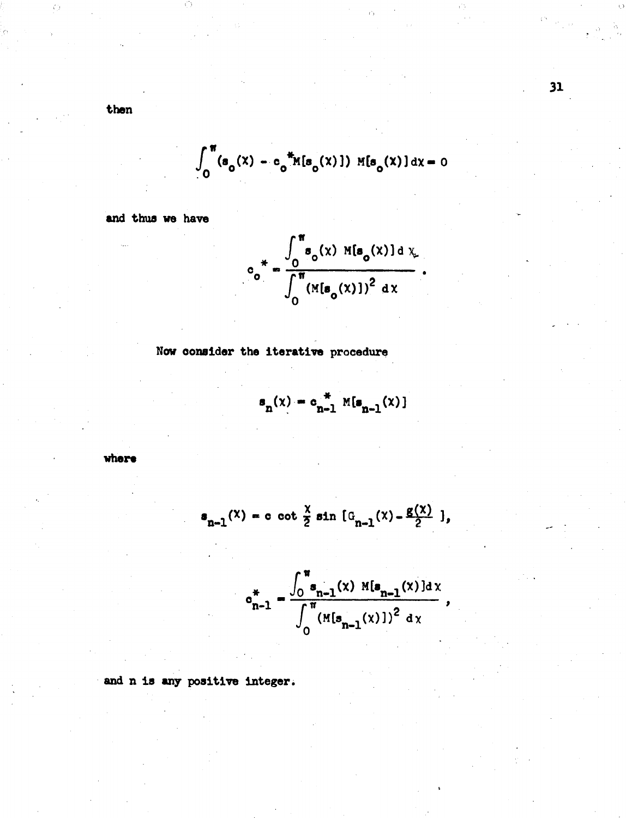then

$$
\int_0^{\pi} (s_0(x) - c_0^{\pi} M[s_0(x)]) M[s_0(x)] dx = 0
$$

and thus we have

$$
c_0^* = \frac{\int_0^{\pi} s_o(x) M[s_o(x)] dx}{\int_0^{\pi} (M[s_o(x)])^2 dx}.
$$

Now consider the iterative procedure

$$
\mathbf{s}_{n}(x) = \mathbf{c}_{n-1}^{\ast} \mathbb{M}[\mathbf{s}_{n-1}(x)]
$$

where

$$
s_{n-1}(x) = c \cot \frac{x}{2} \sin [\theta_{n-1}(x) - \frac{g(x)}{2}],
$$

$$
c_{n-1}^* = \frac{\int_0^{\pi} s_{n-1}(x) M[s_{n-1}(x)]dx}{\int_0^{\pi} (M[s_{n-1}(x)])^2 dx},
$$

and n is any positive integer.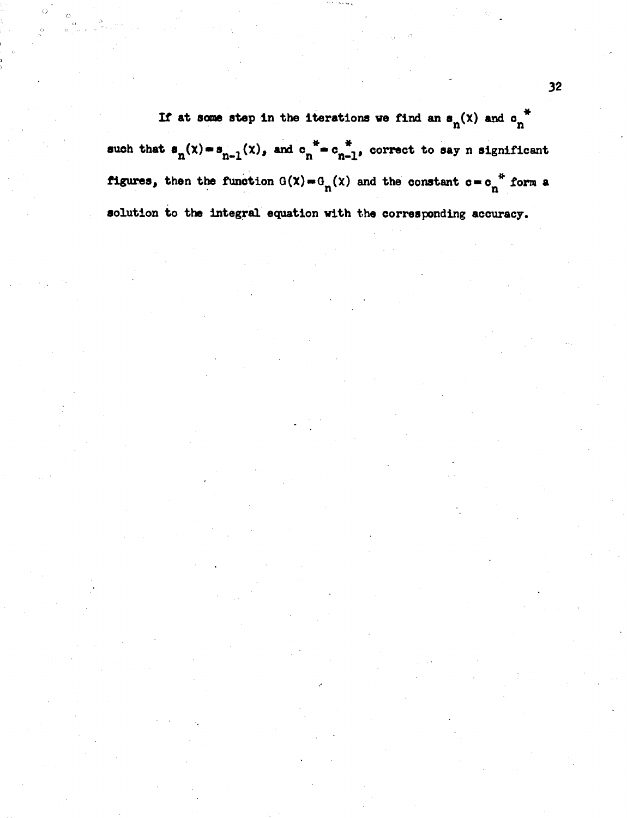If at some step in the iterations we find an  $\mathbf{s}_n(x)$  and  $\mathbf{c}_n^*$ such that  $\mathbf{s}_{n}(x) = \mathbf{s}_{n-1}(x)$ , and  $\mathbf{c}_{n}^* = \mathbf{c}_{n-1}^*$ , correct to say n significant **figures, then the function**  $G(\chi) = G_n(\chi)$  and the constant  $c = c_n^*$  form a **solution to the integral equation with the corresponding accuracy.**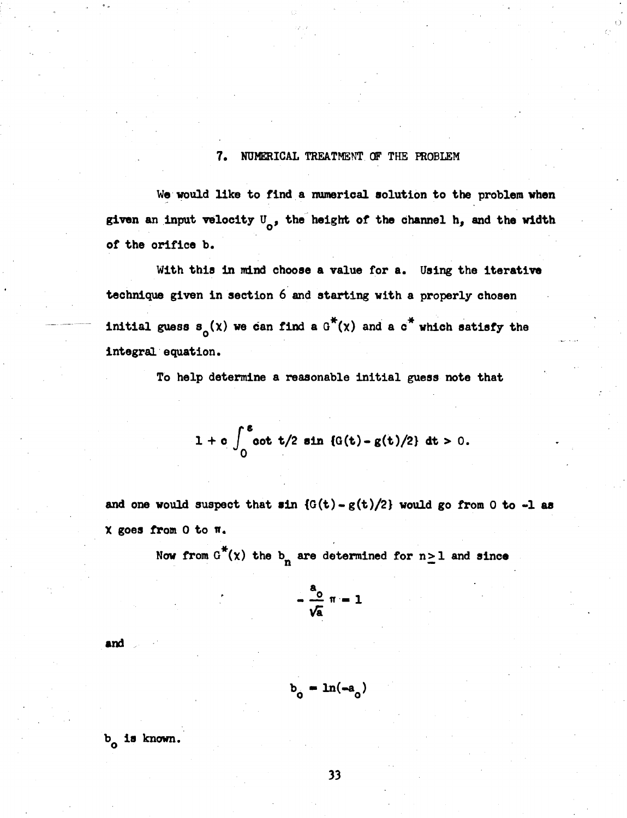#### **7. NUMERICAL TREATMENT OF THE PROBLEM**

**We would like to find a numerical solution to the problem when**  given an input velocity  $U_{\alpha}$ , the height of the channel h, and the width **of the orifice b.** 

**With this in mind choose a value for a. Using the iterative technique given in section 6 and starting with a properly chosen initial guess**  $s_0(x)$  **we can find a**  $G^*(x)$  **and a**  $G^*$  **which satisfy the integral equation.** 

**To help determine a reasonable initial guess note that** 

$$
1 + c \int_0^{\epsilon} \cot t/2 \sin \{G(t) - g(t)/2\} dt > 0.
$$

and one would suspect that  $sin \{G(t) - g(t)/2\}$  would go from 0 to  $-1$  as **X goes from 0 to n.** 

Now from  $G^*(x)$  the  $b_n$  are determined for  $n \geq 1$  and since

$$
=\frac{a_0}{\sqrt{a}} \pi = 1
$$

**and** 

$$
b_{0} = \ln(-a_{0})
$$

**b is known. o**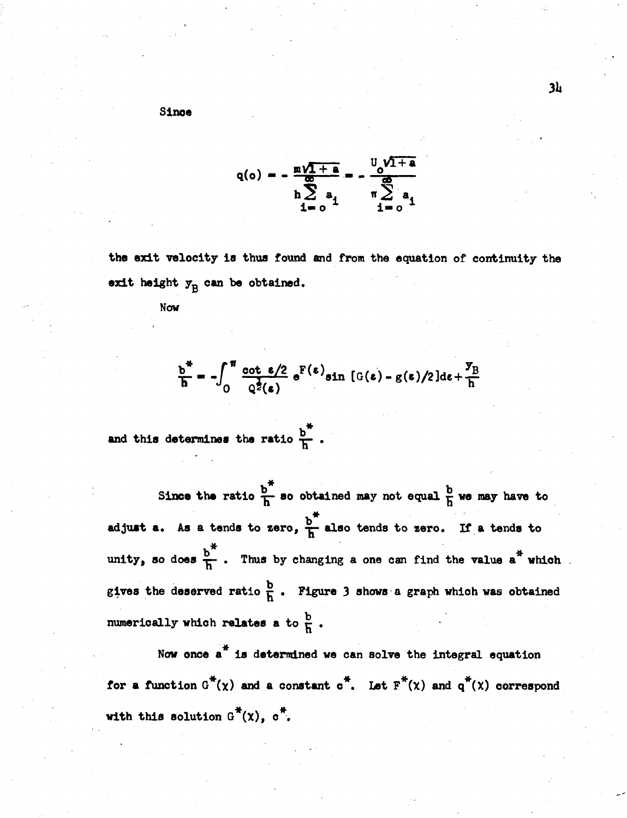**Since** 

$$
q(o) = -\frac{m\sqrt{1+a}}{n\sum_{i=0}^{\infty} a_i} = -\frac{v_0\sqrt{1+a}}{n\sum_{i=0}^{\infty} a_i}
$$

**the exit velocity is thua found and from the equation of continuity the**  exit height  $y_B$  can be obtained.

**Now** 

$$
\frac{b^*}{h} = -\int_0^{\pi} \frac{\cot \epsilon/2}{Q^2(\epsilon)} e^{F(\epsilon)} \sin \left[ G(\epsilon) - g(\epsilon)/2 \right] d\epsilon + \frac{y_B}{h}
$$

and this determines the ratio  $\frac{b^*}{h}$ .

Since the ratio  $\frac{b^*}{h}$  so obtained may not equal  $\frac{b}{h}$  we may have to **adjust a.** As a tends to zero,  $\frac{b^*}{h}$  also tends to zero. If a tends to unity, so does  $\frac{b^{\pi}}{h}$ . Thus by changing a one can find the value a<sup>\*</sup> which gives the deserved ratio  $\frac{b}{h}$ . Figure 3 shows a graph which was obtained numerically which relates a to  $\frac{b}{h}$ .

Now once a<sup>\*</sup> is determined we can solve the integral equation for a function  $G^*(\chi)$  and a constant  $c^*$ . Let  $F^*(\chi)$  and  $q^*(\chi)$  correspond with this solution  $G^*(x)$ ,  $\sigma^*$ .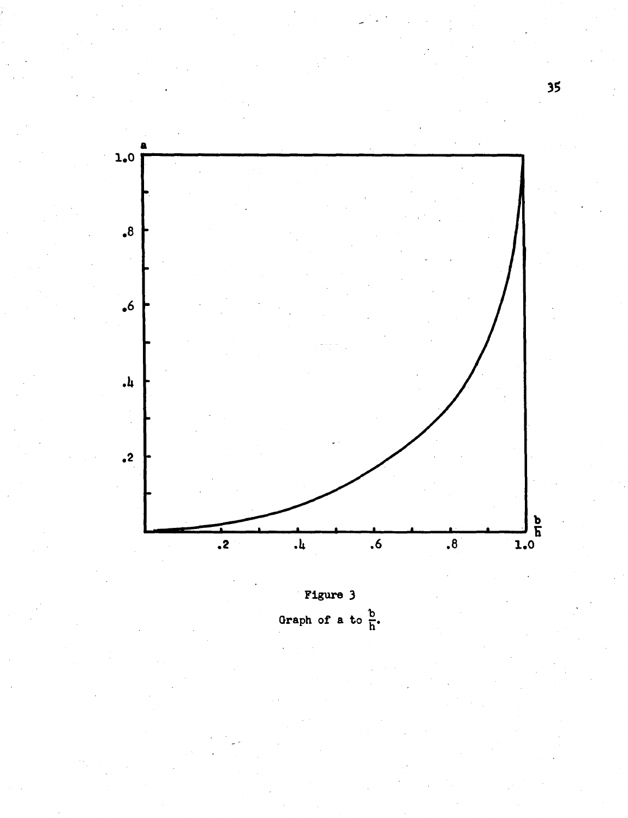

Figure 3 Graph of a to  $\frac{b}{h}$ .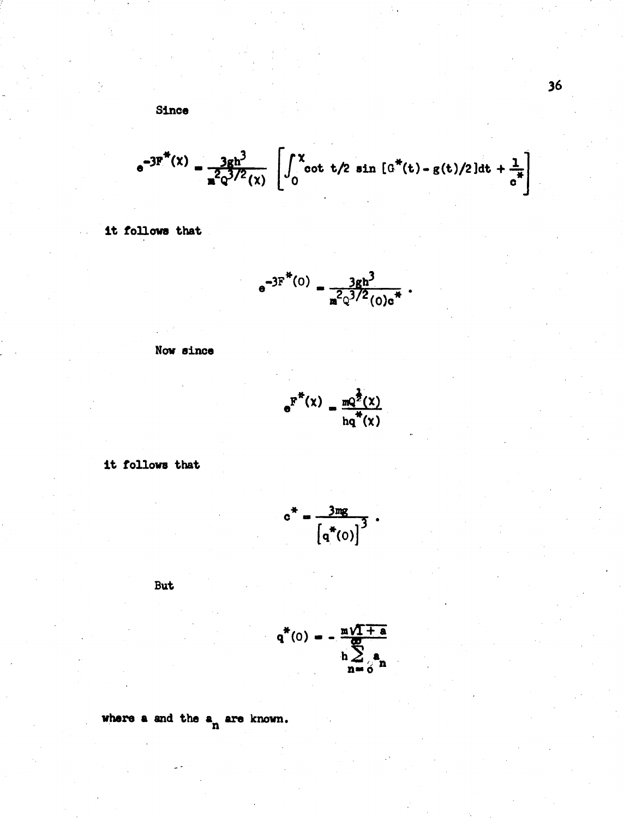Since

$$
e^{-3F^{\pi}(x)} = \frac{3gh^3}{n^2q^{3/2}(x)} \left[ \int_0^x \cot t/2 \sin \left[ G^{\pi}(t) - g(t)/2 \right] dt + \frac{1}{c^{\pi}} \right]
$$

it follows that

$$
e^{-3F^{*}(0)} = \frac{3gh^{3}}{n^{2}Q^{3/2}(0)e^{*}}.
$$

Now since

$$
e^{\overline{F}^*(\chi)} = \frac{mQ^2(\chi)}{hq^*(\chi)}
$$

it follows that

$$
c^* = \frac{3mg}{\left[q^*(0)\right]^3} \ .
$$

But

$$
q^*(0) = -\frac{m\sqrt{1+a}}{h\sum_{n=0}^{m}a_n}
$$

where a and the  $a_n$  are known.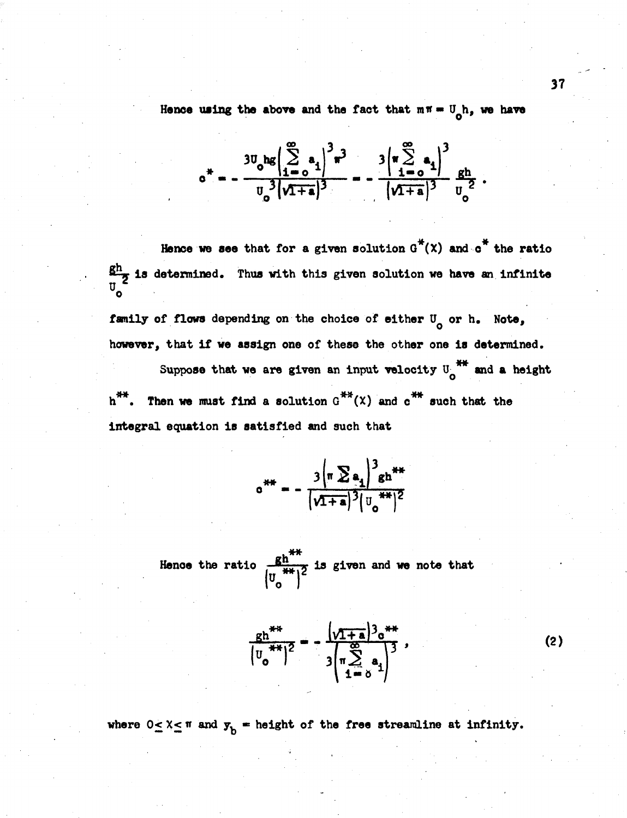Hence using the above and the fact that  $m \pi = U_0 h$ , we have

$$
0^* = -\frac{3U_0 \log \left( \sum_{i=0}^{\infty} a_i \right)^3 \pi^3}{U_0^3 \left( \sqrt{1+a} \right)^3} = -\frac{3 \left( \pi \sum_{i=0}^{\infty} a_i \right)^3}{\left( \sqrt{1+a} \right)^3} \frac{gh}{U_0^2}
$$

Hence we see that for a given solution  $G^*(x)$  and  $\sigma^*$  the ratio  $\frac{gh}{g}$  is determined. Thus with this given solution we have an infinite  $U$ family of flows depending on the choice of either U<sub>o</sub> or h. Note,

however, that if we assign one of these the other one is determined. Suppose that we are given an input velocity  $U_0$ <sup>\*\*</sup> and a height  $h^{++}$ . Then we must find a solution  $G^{++}(X)$  and  $c^{++}$  such that the

integral equation is satisfied and such that

$$
e^{i\pi} = -\frac{3\left(\pi \sum a_1\right)^3 g h^{i\pi}}{\left(\sqrt{1+a}\right)^3 \left(\frac{1}{\sigma}\right)^{i\pi/2}}
$$

Hence the ratio  $\frac{gh^{**}}{(U_{*}^{**})^2}$  is given and we note that

$$
\frac{gh^{**}}{\left|u_0^{**}\right|^2} = -\frac{\left|v_{1+a}^{*}\right|^{3}e^{**}}{\left|u_{1+a}^{*}\right|^{3}} = -\frac{\left|v_{1+a}^{*}\right|^{3}e^{**}}{\left|u_{1+a}^{*}\right|^{3}}
$$

 $(2)$ 

where  $0 \le X \le \pi$  and  $y_b$  = height of the free streamline at infinity.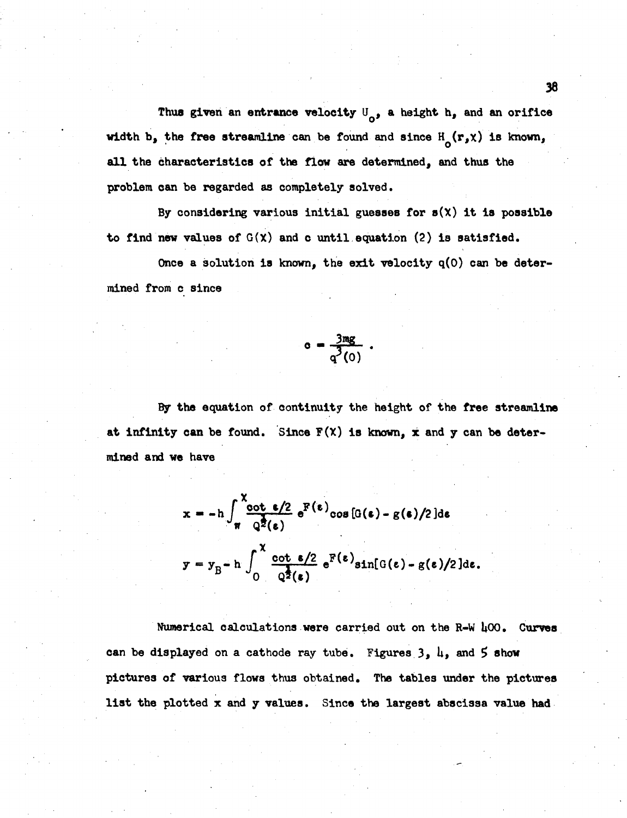Thus given an entrance velocity  $U_{\alpha}$ , a height h, and an orifice **width b, the free streamline can be found and since HQ(r,x) is known, all the characteristics of the flow are determined, and thus the problem can be regarded as completely solved.** 

**By considering various initial guesses for s(X) it is possible to find new values of G(X) and c until equation (2) is satisfied.** 

**Once a solution is known, the exit velocity q(0) can be determined from c since** 

$$
c = \frac{3mg}{q^3(0)}.
$$

**By the equation of continuity the height of the free streamline at infinity can be found. Since F(X) is known, x and y can be determined and we have** 

$$
x = -h \int_{\pi}^{\pi} \frac{\cot \epsilon/2}{Q^2(\epsilon)} e^{F(\epsilon)} \cos [G(\epsilon) - g(\epsilon)/2] d\epsilon
$$
  

$$
y = y_B - h \int_0^{\pi} \frac{\cot \epsilon/2}{Q^2(\epsilon)} e^{F(\epsilon)} \sin[G(\epsilon) - g(\epsilon)/2] d\epsilon.
$$

**Numerical calculations were carried out on the R-W U00. Curves can be displayed on a cathode ray tube. Figures 3, U, and 5 show pictures of various flows thus obtained. The tables under the pictures list the plotted x and y values. Since the largest abscissa value had**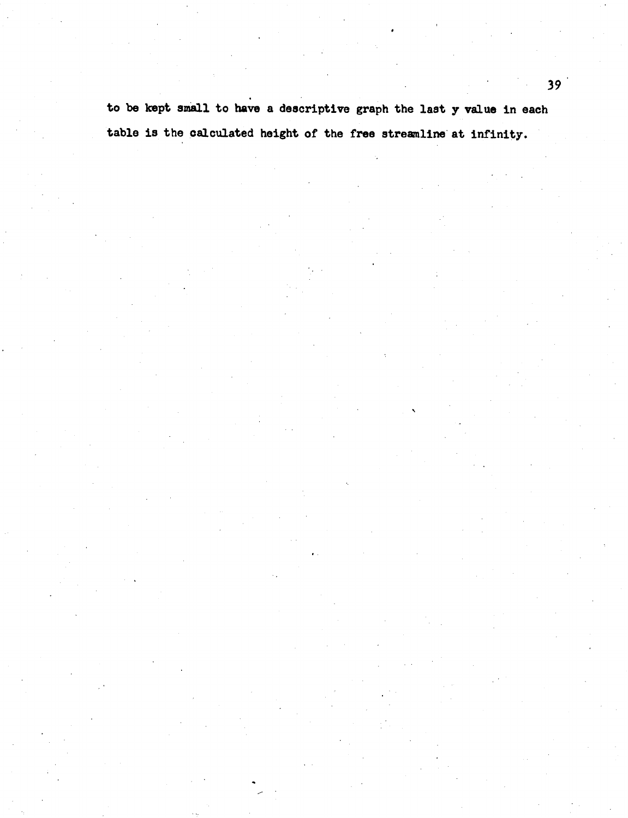**to be kept small to have a descriptive graph the last y value in each table is the calculated height of the free streamline at infinity.**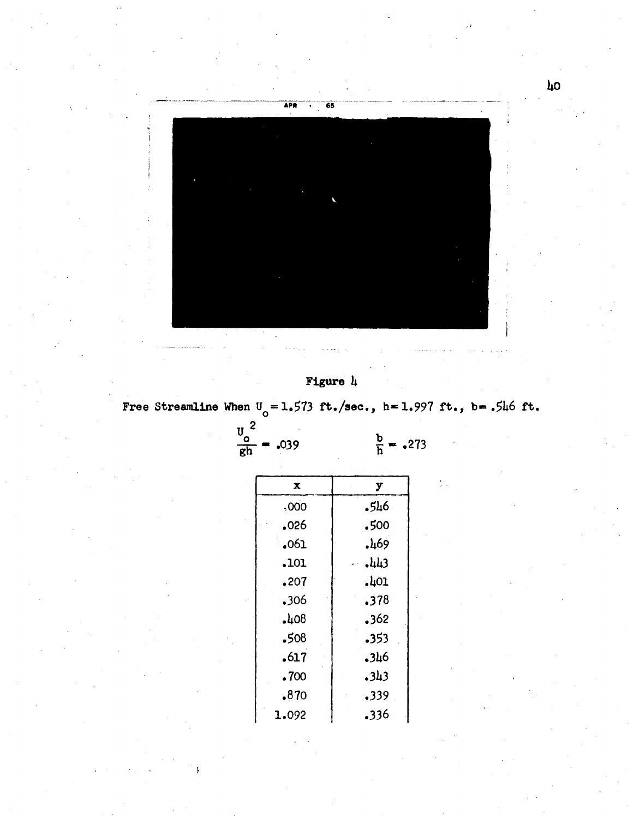

## Figure  $\mu$

Free Streamline When  $U_0 = 1.573$  ft./sec., h=1.997 ft., b=.546 ft.

| ο                                     |         |
|---------------------------------------|---------|
| $\frac{v_o}{gh}$ <sup>2</sup><br>039ء | b<br>กิ |
| X                                     | y       |
| ,000                                  | .546    |
| .026                                  | .500    |
| .061                                  | .469    |
| .101                                  | $-443$  |
| .207                                  | .401    |
| .306                                  | .378    |
| ,408                                  | .362    |
| .508                                  | .353    |
| .617                                  | .346    |
| .700                                  | .343    |
| .870                                  | .339    |
| 1.092                                 | .336    |

ş.

 $\frac{b}{h}$  = .273

 $\lambda$ o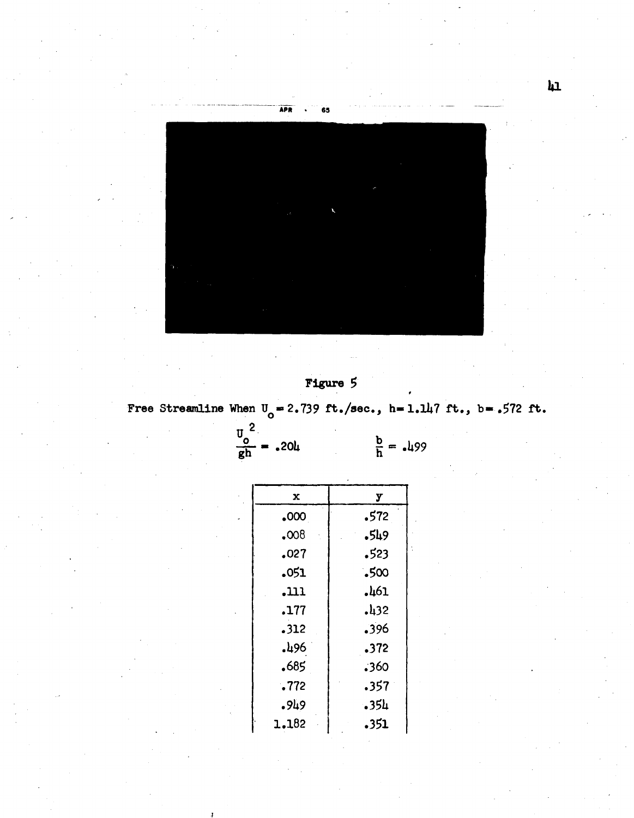

Figure 5

Free Streamline When  $U_o = 2.739$  ft./sec., h=1.147 ft., b=.572 ft.

 $\frac{v_o^2}{gh} = .204$  $\frac{b}{h} = .499$ 

| у                 |
|-------------------|
| .572              |
| -549              |
| .523              |
| .500              |
| .461              |
| .432              |
| .396              |
| .372              |
| .360              |
| .357 <sup>°</sup> |
| .35h              |
| .351              |
|                   |

 $\mathbf{h}$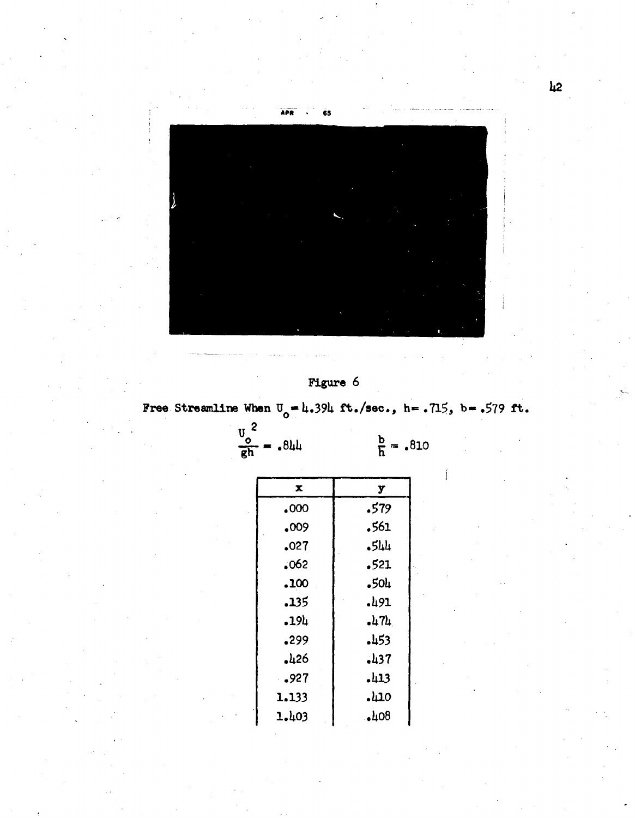

## **Figure 6**

Free Streamline When  $U_0 = 4.394$  ft./sec., h= .715, b= .579 ft.

 $\frac{v_o^2}{gh} = .8$ 

 $\frac{b}{h} = .810$ 

| x     | у      |
|-------|--------|
| .000  | .579   |
| .009  | .561   |
| .027  | $-544$ |
| .062  | .521   |
| .100  | .50L   |
| .135  | .491   |
| .194  | •µ 7µ  |
| .299  | -453   |
| .426  | 137ء   |
| .927  | 113ء   |
| 1.133 | 110ء   |
| 1.403 | ,408   |

 $\hbox{12}$